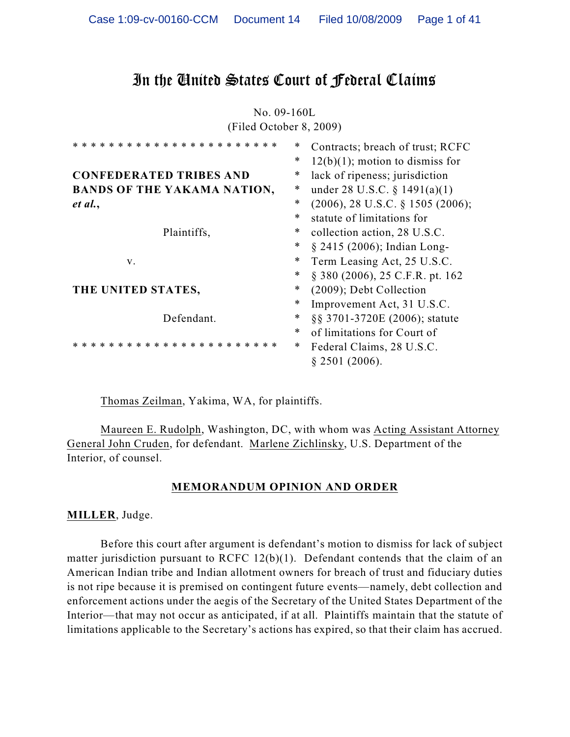# In the United States Court of Federal Claims

No. 09-160L (Filed October 8, 2009)

| * * * * * * * *<br>$***$                    | $\ast$ | Contracts; breach of trust; RCFC    |
|---------------------------------------------|--------|-------------------------------------|
|                                             | $\ast$ | $12(b)(1)$ ; motion to dismiss for  |
| <b>CONFEDERATED TRIBES AND</b>              | ∗      | lack of ripeness; jurisdiction      |
| <b>BANDS OF THE YAKAMA NATION,</b>          | $\ast$ | under 28 U.S.C. $\S$ 1491(a)(1)     |
| et al.,                                     | $\ast$ | $(2006)$ , 28 U.S.C. § 1505 (2006); |
|                                             | $\ast$ | statute of limitations for          |
| Plaintiffs,                                 | $\ast$ | collection action, 28 U.S.C.        |
|                                             | $\ast$ | $\S$ 2415 (2006); Indian Long-      |
| V.                                          | $\ast$ | Term Leasing Act, 25 U.S.C.         |
|                                             | $\ast$ | $\S$ 380 (2006), 25 C.F.R. pt. 162  |
| THE UNITED STATES,                          | $\ast$ | $(2009)$ ; Debt Collection          |
|                                             | $\ast$ | Improvement Act, 31 U.S.C.          |
| Defendant.                                  | $\ast$ | §§ 3701-3720E (2006); statute       |
|                                             | $\ast$ | of limitations for Court of         |
| * * * * * *<br>$\ast\ *$<br>$* *$<br>$\ast$ | $\ast$ | Federal Claims, 28 U.S.C.           |
|                                             |        | $§$ 2501 (2006).                    |

Thomas Zeilman, Yakima, WA, for plaintiffs.

Maureen E. Rudolph, Washington, DC, with whom was Acting Assistant Attorney General John Cruden, for defendant. Marlene Zichlinsky, U.S. Department of the Interior, of counsel.

## **MEMORANDUM OPINION AND ORDER**

## **MILLER**, Judge.

Before this court after argument is defendant's motion to dismiss for lack of subject matter jurisdiction pursuant to RCFC 12(b)(1). Defendant contends that the claim of an American Indian tribe and Indian allotment owners for breach of trust and fiduciary duties is not ripe because it is premised on contingent future events—namely, debt collection and enforcement actions under the aegis of the Secretary of the United States Department of the Interior—that may not occur as anticipated, if at all. Plaintiffs maintain that the statute of limitations applicable to the Secretary's actions has expired, so that their claim has accrued.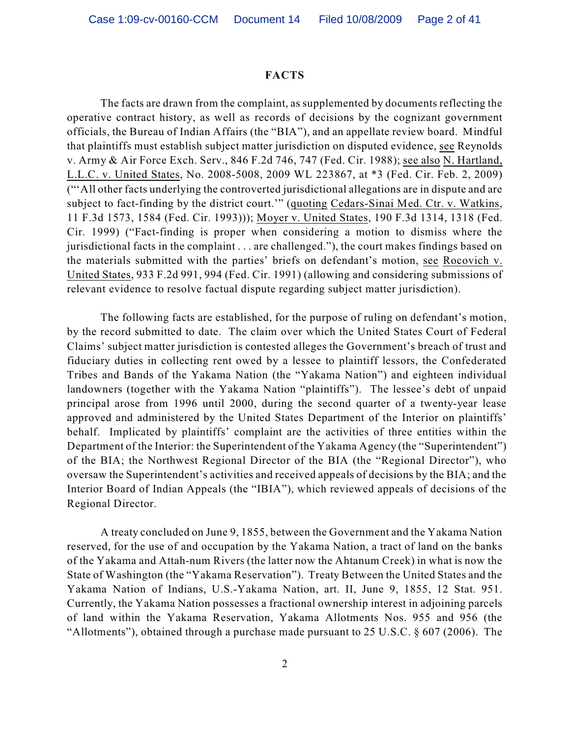#### **FACTS**

The facts are drawn from the complaint, as supplemented by documents reflecting the operative contract history, as well as records of decisions by the cognizant government officials, the Bureau of Indian Affairs (the "BIA"), and an appellate review board. Mindful that plaintiffs must establish subject matter jurisdiction on disputed evidence, see Reynolds v. Army & Air Force Exch. Serv., 846 F.2d 746, 747 (Fed. Cir. 1988); see also N. Hartland, L.L.C. v. United States, No. 2008-5008, 2009 WL 223867, at \*3 (Fed. Cir. Feb. 2, 2009) ("'All other facts underlying the controverted jurisdictional allegations are in dispute and are subject to fact-finding by the district court."" (quoting Cedars-Sinai Med. Ctr. v. Watkins, 11 F.3d 1573, 1584 (Fed. Cir. 1993))); Moyer v. United States, 190 F.3d 1314, 1318 (Fed. Cir. 1999) ("Fact-finding is proper when considering a motion to dismiss where the jurisdictional facts in the complaint . . . are challenged."), the court makes findings based on the materials submitted with the parties' briefs on defendant's motion, see Rocovich v. United States, 933 F.2d 991, 994 (Fed. Cir. 1991) (allowing and considering submissions of relevant evidence to resolve factual dispute regarding subject matter jurisdiction).

The following facts are established, for the purpose of ruling on defendant's motion, by the record submitted to date. The claim over which the United States Court of Federal Claims' subject matter jurisdiction is contested alleges the Government's breach of trust and fiduciary duties in collecting rent owed by a lessee to plaintiff lessors, the Confederated Tribes and Bands of the Yakama Nation (the "Yakama Nation") and eighteen individual landowners (together with the Yakama Nation "plaintiffs"). The lessee's debt of unpaid principal arose from 1996 until 2000, during the second quarter of a twenty-year lease approved and administered by the United States Department of the Interior on plaintiffs' behalf. Implicated by plaintiffs' complaint are the activities of three entities within the Department of the Interior: the Superintendent of the Yakama Agency (the "Superintendent") of the BIA; the Northwest Regional Director of the BIA (the "Regional Director"), who oversaw the Superintendent's activities and received appeals of decisions by the BIA; and the Interior Board of Indian Appeals (the "IBIA"), which reviewed appeals of decisions of the Regional Director.

A treaty concluded on June 9, 1855, between the Government and the Yakama Nation reserved, for the use of and occupation by the Yakama Nation, a tract of land on the banks of the Yakama and Attah-num Rivers (the latter now the Ahtanum Creek) in what is now the State of Washington (the "Yakama Reservation"). Treaty Between the United States and the Yakama Nation of Indians, U.S.-Yakama Nation, art. II, June 9, 1855, 12 Stat. 951. Currently, the Yakama Nation possesses a fractional ownership interest in adjoining parcels of land within the Yakama Reservation, Yakama Allotments Nos. 955 and 956 (the "Allotments"), obtained through a purchase made pursuant to 25 U.S.C. § 607 (2006). The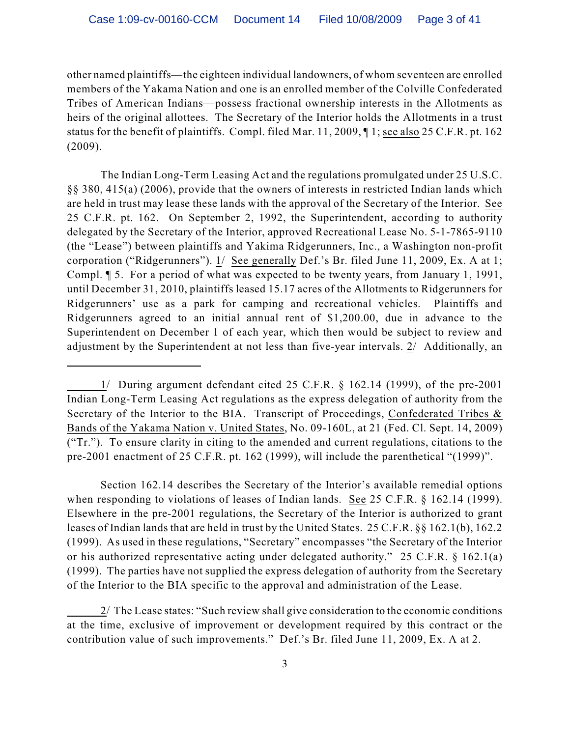other named plaintiffs—the eighteen individual landowners, of whom seventeen are enrolled members of the Yakama Nation and one is an enrolled member of the Colville Confederated Tribes of American Indians—possess fractional ownership interests in the Allotments as heirs of the original allottees. The Secretary of the Interior holds the Allotments in a trust status for the benefit of plaintiffs. Compl. filed Mar. 11, 2009, ¶ 1; see also 25 C.F.R. pt. 162 (2009).

The Indian Long-Term Leasing Act and the regulations promulgated under 25 U.S.C. §§ 380, 415(a) (2006), provide that the owners of interests in restricted Indian lands which are held in trust may lease these lands with the approval of the Secretary of the Interior. See 25 C.F.R. pt. 162. On September 2, 1992, the Superintendent, according to authority delegated by the Secretary of the Interior, approved Recreational Lease No. 5-1-7865-9110 (the "Lease") between plaintiffs and Yakima Ridgerunners, Inc., a Washington non-profit corporation ("Ridgerunners"). 1/ See generally Def.'s Br. filed June 11, 2009, Ex. A at 1; Compl. ¶ 5. For a period of what was expected to be twenty years, from January 1, 1991, until December 31, 2010, plaintiffs leased 15.17 acres of the Allotments to Ridgerunners for Ridgerunners' use as a park for camping and recreational vehicles. Plaintiffs and Ridgerunners agreed to an initial annual rent of \$1,200.00, due in advance to the Superintendent on December 1 of each year, which then would be subject to review and adjustment by the Superintendent at not less than five-year intervals. 2/ Additionally, an

Section 162.14 describes the Secretary of the Interior's available remedial options when responding to violations of leases of Indian lands. See 25 C.F.R. § 162.14 (1999). Elsewhere in the pre-2001 regulations, the Secretary of the Interior is authorized to grant leases of Indian lands that are held in trust by the United States. 25 C.F.R. §§ 162.1(b), 162.2 (1999). As used in these regulations, "Secretary" encompasses "the Secretary of the Interior or his authorized representative acting under delegated authority." 25 C.F.R. § 162.1(a) (1999). The parties have not supplied the express delegation of authority from the Secretary of the Interior to the BIA specific to the approval and administration of the Lease.

2/ The Lease states: "Such review shall give consideration to the economic conditions at the time, exclusive of improvement or development required by this contract or the contribution value of such improvements." Def.'s Br. filed June 11, 2009, Ex. A at 2.

<sup>1/</sup> During argument defendant cited 25 C.F.R. § 162.14 (1999), of the pre-2001 Indian Long-Term Leasing Act regulations as the express delegation of authority from the Secretary of the Interior to the BIA. Transcript of Proceedings, Confederated Tribes & Bands of the Yakama Nation v. United States, No. 09-160L, at 21 (Fed. Cl. Sept. 14, 2009) ("Tr."). To ensure clarity in citing to the amended and current regulations, citations to the pre-2001 enactment of 25 C.F.R. pt. 162 (1999), will include the parenthetical "(1999)".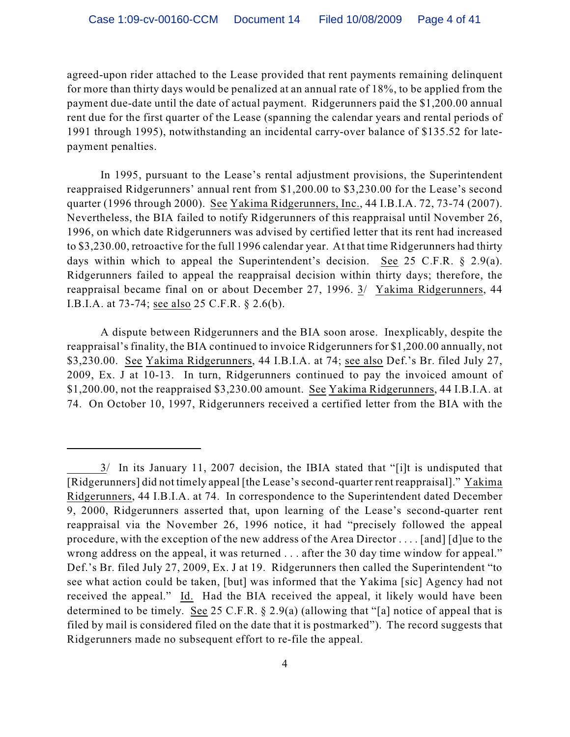agreed-upon rider attached to the Lease provided that rent payments remaining delinquent for more than thirty days would be penalized at an annual rate of 18%, to be applied from the payment due-date until the date of actual payment. Ridgerunners paid the \$1,200.00 annual rent due for the first quarter of the Lease (spanning the calendar years and rental periods of 1991 through 1995), notwithstanding an incidental carry-over balance of \$135.52 for latepayment penalties.

In 1995, pursuant to the Lease's rental adjustment provisions, the Superintendent reappraised Ridgerunners' annual rent from \$1,200.00 to \$3,230.00 for the Lease's second quarter (1996 through 2000). See Yakima Ridgerunners, Inc., 44 I.B.I.A. 72, 73-74 (2007). Nevertheless, the BIA failed to notify Ridgerunners of this reappraisal until November 26, 1996, on which date Ridgerunners was advised by certified letter that its rent had increased to \$3,230.00, retroactive for the full 1996 calendar year. At that time Ridgerunners had thirty days within which to appeal the Superintendent's decision. See 25 C.F.R. § 2.9(a). Ridgerunners failed to appeal the reappraisal decision within thirty days; therefore, the reappraisal became final on or about December 27, 1996. 3/ Yakima Ridgerunners, 44 I.B.I.A. at 73-74; see also 25 C.F.R. § 2.6(b).

A dispute between Ridgerunners and the BIA soon arose. Inexplicably, despite the reappraisal's finality, the BIA continued to invoice Ridgerunners for \$1,200.00 annually, not \$3,230.00. See Yakima Ridgerunners, 44 I.B.I.A. at 74; see also Def.'s Br. filed July 27, 2009, Ex. J at 10-13. In turn, Ridgerunners continued to pay the invoiced amount of \$1,200.00, not the reappraised \$3,230.00 amount. See Yakima Ridgerunners, 44 I.B.I.A. at 74. On October 10, 1997, Ridgerunners received a certified letter from the BIA with the

<sup>3/</sup> In its January 11, 2007 decision, the IBIA stated that "[i]t is undisputed that [Ridgerunners] did not timely appeal [the Lease's second-quarter rent reappraisal]." Yakima Ridgerunners, 44 I.B.I.A. at 74. In correspondence to the Superintendent dated December 9, 2000, Ridgerunners asserted that, upon learning of the Lease's second-quarter rent reappraisal via the November 26, 1996 notice, it had "precisely followed the appeal procedure, with the exception of the new address of the Area Director . . . . [and] [d]ue to the wrong address on the appeal, it was returned . . . after the 30 day time window for appeal." Def.'s Br. filed July 27, 2009, Ex. J at 19. Ridgerunners then called the Superintendent "to see what action could be taken, [but] was informed that the Yakima [sic] Agency had not received the appeal." Id. Had the BIA received the appeal, it likely would have been determined to be timely. See 25 C.F.R. § 2.9(a) (allowing that "[a] notice of appeal that is filed by mail is considered filed on the date that it is postmarked"). The record suggests that Ridgerunners made no subsequent effort to re-file the appeal.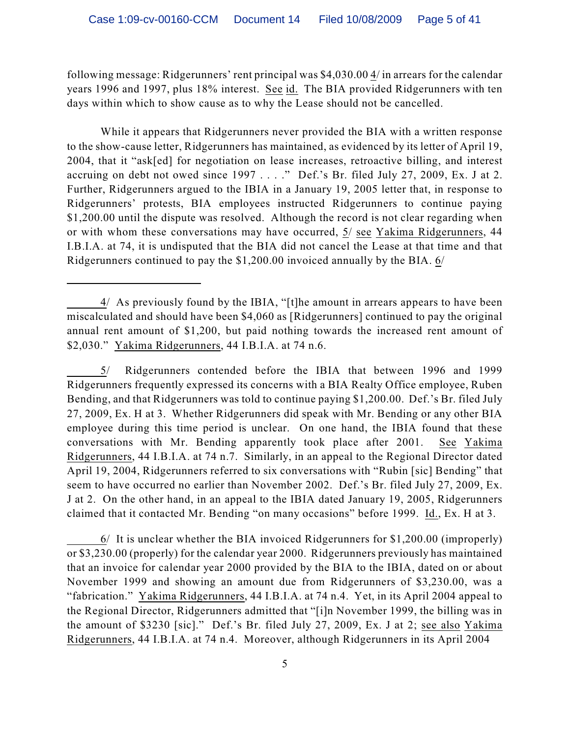following message: Ridgerunners' rent principal was \$4,030.00 4/ in arrears for the calendar years 1996 and 1997, plus 18% interest. See id. The BIA provided Ridgerunners with ten days within which to show cause as to why the Lease should not be cancelled.

While it appears that Ridgerunners never provided the BIA with a written response to the show-cause letter, Ridgerunners has maintained, as evidenced by its letter of April 19, 2004, that it "ask[ed] for negotiation on lease increases, retroactive billing, and interest accruing on debt not owed since 1997 . . . ." Def.'s Br. filed July 27, 2009, Ex. J at 2. Further, Ridgerunners argued to the IBIA in a January 19, 2005 letter that, in response to Ridgerunners' protests, BIA employees instructed Ridgerunners to continue paying \$1,200.00 until the dispute was resolved. Although the record is not clear regarding when or with whom these conversations may have occurred, 5/ see Yakima Ridgerunners, 44 I.B.I.A. at 74, it is undisputed that the BIA did not cancel the Lease at that time and that Ridgerunners continued to pay the \$1,200.00 invoiced annually by the BIA. 6/

5/ Ridgerunners contended before the IBIA that between 1996 and 1999 Ridgerunners frequently expressed its concerns with a BIA Realty Office employee, Ruben Bending, and that Ridgerunners was told to continue paying \$1,200.00. Def.'s Br. filed July 27, 2009, Ex. H at 3. Whether Ridgerunners did speak with Mr. Bending or any other BIA employee during this time period is unclear. On one hand, the IBIA found that these conversations with Mr. Bending apparently took place after 2001. See Yakima Ridgerunners, 44 I.B.I.A. at 74 n.7. Similarly, in an appeal to the Regional Director dated April 19, 2004, Ridgerunners referred to six conversations with "Rubin [sic] Bending" that seem to have occurred no earlier than November 2002. Def.'s Br. filed July 27, 2009, Ex. J at 2. On the other hand, in an appeal to the IBIA dated January 19, 2005, Ridgerunners claimed that it contacted Mr. Bending "on many occasions" before 1999. Id., Ex. H at 3.

6/ It is unclear whether the BIA invoiced Ridgerunners for \$1,200.00 (improperly) or \$3,230.00 (properly) for the calendar year 2000. Ridgerunners previously has maintained that an invoice for calendar year 2000 provided by the BIA to the IBIA, dated on or about November 1999 and showing an amount due from Ridgerunners of \$3,230.00, was a "fabrication." Yakima Ridgerunners, 44 I.B.I.A. at 74 n.4. Yet, in its April 2004 appeal to the Regional Director, Ridgerunners admitted that "[i]n November 1999, the billing was in the amount of \$3230 [sic]." Def.'s Br. filed July 27, 2009, Ex. J at 2; see also Yakima Ridgerunners, 44 I.B.I.A. at 74 n.4. Moreover, although Ridgerunners in its April 2004

<sup>4/</sup> As previously found by the IBIA, "[t]he amount in arrears appears to have been miscalculated and should have been \$4,060 as [Ridgerunners] continued to pay the original annual rent amount of \$1,200, but paid nothing towards the increased rent amount of \$2,030." Yakima Ridgerunners, 44 I.B.I.A. at 74 n.6.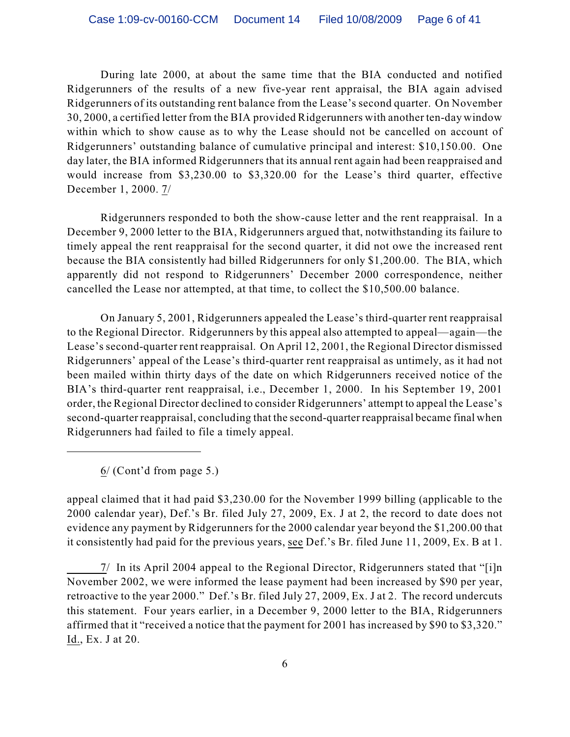During late 2000, at about the same time that the BIA conducted and notified Ridgerunners of the results of a new five-year rent appraisal, the BIA again advised Ridgerunners of its outstanding rent balance from the Lease's second quarter. On November 30, 2000, a certified letter from the BIA provided Ridgerunners with another ten-day window within which to show cause as to why the Lease should not be cancelled on account of Ridgerunners' outstanding balance of cumulative principal and interest: \$10,150.00. One day later, the BIA informed Ridgerunners that its annual rent again had been reappraised and would increase from \$3,230.00 to \$3,320.00 for the Lease's third quarter, effective December 1, 2000. 7/

Ridgerunners responded to both the show-cause letter and the rent reappraisal. In a December 9, 2000 letter to the BIA, Ridgerunners argued that, notwithstanding its failure to timely appeal the rent reappraisal for the second quarter, it did not owe the increased rent because the BIA consistently had billed Ridgerunners for only \$1,200.00. The BIA, which apparently did not respond to Ridgerunners' December 2000 correspondence, neither cancelled the Lease nor attempted, at that time, to collect the \$10,500.00 balance.

On January 5, 2001, Ridgerunners appealed the Lease's third-quarter rent reappraisal to the Regional Director. Ridgerunners by this appeal also attempted to appeal—again—the Lease's second-quarter rent reappraisal. On April 12, 2001, the Regional Director dismissed Ridgerunners' appeal of the Lease's third-quarter rent reappraisal as untimely, as it had not been mailed within thirty days of the date on which Ridgerunners received notice of the BIA's third-quarter rent reappraisal, i.e., December 1, 2000. In his September 19, 2001 order, the Regional Director declined to consider Ridgerunners' attempt to appeal the Lease's second-quarter reappraisal, concluding that the second-quarter reappraisal became final when Ridgerunners had failed to file a timely appeal.

6/ (Cont'd from page 5.)

appeal claimed that it had paid \$3,230.00 for the November 1999 billing (applicable to the 2000 calendar year), Def.'s Br. filed July 27, 2009, Ex. J at 2, the record to date does not evidence any payment by Ridgerunners for the 2000 calendar year beyond the \$1,200.00 that it consistently had paid for the previous years, see Def.'s Br. filed June 11, 2009, Ex. B at 1.

7/ In its April 2004 appeal to the Regional Director, Ridgerunners stated that "[i]n November 2002, we were informed the lease payment had been increased by \$90 per year, retroactive to the year 2000." Def.'s Br. filed July 27, 2009, Ex. J at 2. The record undercuts this statement. Four years earlier, in a December 9, 2000 letter to the BIA, Ridgerunners affirmed that it "received a notice that the payment for 2001 has increased by \$90 to \$3,320." Id., Ex. J at 20.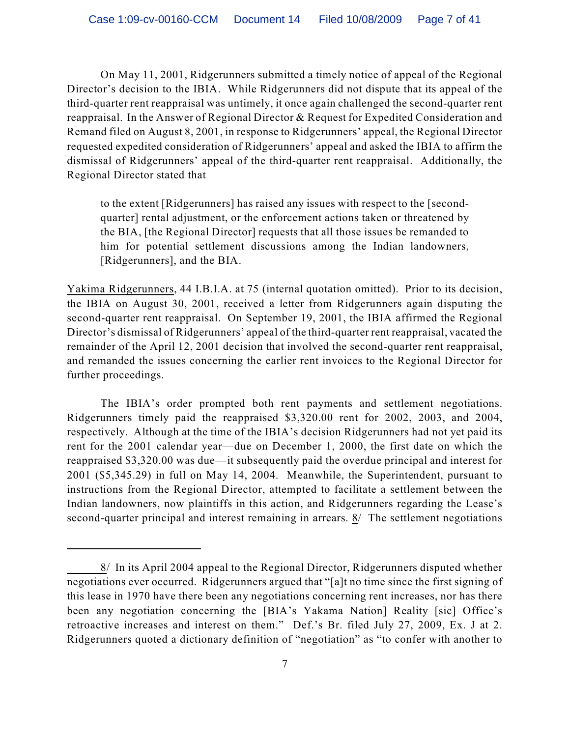On May 11, 2001, Ridgerunners submitted a timely notice of appeal of the Regional Director's decision to the IBIA. While Ridgerunners did not dispute that its appeal of the third-quarter rent reappraisal was untimely, it once again challenged the second-quarter rent reappraisal. In the Answer of Regional Director & Request for Expedited Consideration and Remand filed on August 8, 2001, in response to Ridgerunners' appeal, the Regional Director requested expedited consideration of Ridgerunners' appeal and asked the IBIA to affirm the dismissal of Ridgerunners' appeal of the third-quarter rent reappraisal. Additionally, the Regional Director stated that

to the extent [Ridgerunners] has raised any issues with respect to the [secondquarter] rental adjustment, or the enforcement actions taken or threatened by the BIA, [the Regional Director] requests that all those issues be remanded to him for potential settlement discussions among the Indian landowners, [Ridgerunners], and the BIA.

Yakima Ridgerunners, 44 I.B.I.A. at 75 (internal quotation omitted). Prior to its decision, the IBIA on August 30, 2001, received a letter from Ridgerunners again disputing the second-quarter rent reappraisal. On September 19, 2001, the IBIA affirmed the Regional Director's dismissal of Ridgerunners' appeal of the third-quarter rent reappraisal, vacated the remainder of the April 12, 2001 decision that involved the second-quarter rent reappraisal, and remanded the issues concerning the earlier rent invoices to the Regional Director for further proceedings.

The IBIA's order prompted both rent payments and settlement negotiations. Ridgerunners timely paid the reappraised \$3,320.00 rent for 2002, 2003, and 2004, respectively. Although at the time of the IBIA's decision Ridgerunners had not yet paid its rent for the 2001 calendar year—due on December 1, 2000, the first date on which the reappraised \$3,320.00 was due—it subsequently paid the overdue principal and interest for 2001 (\$5,345.29) in full on May 14, 2004. Meanwhile, the Superintendent, pursuant to instructions from the Regional Director, attempted to facilitate a settlement between the Indian landowners, now plaintiffs in this action, and Ridgerunners regarding the Lease's second-quarter principal and interest remaining in arrears. 8/ The settlement negotiations

<sup>8/</sup> In its April 2004 appeal to the Regional Director, Ridgerunners disputed whether negotiations ever occurred. Ridgerunners argued that "[a]t no time since the first signing of this lease in 1970 have there been any negotiations concerning rent increases, nor has there been any negotiation concerning the [BIA's Yakama Nation] Reality [sic] Office's retroactive increases and interest on them." Def.'s Br. filed July 27, 2009, Ex. J at 2. Ridgerunners quoted a dictionary definition of "negotiation" as "to confer with another to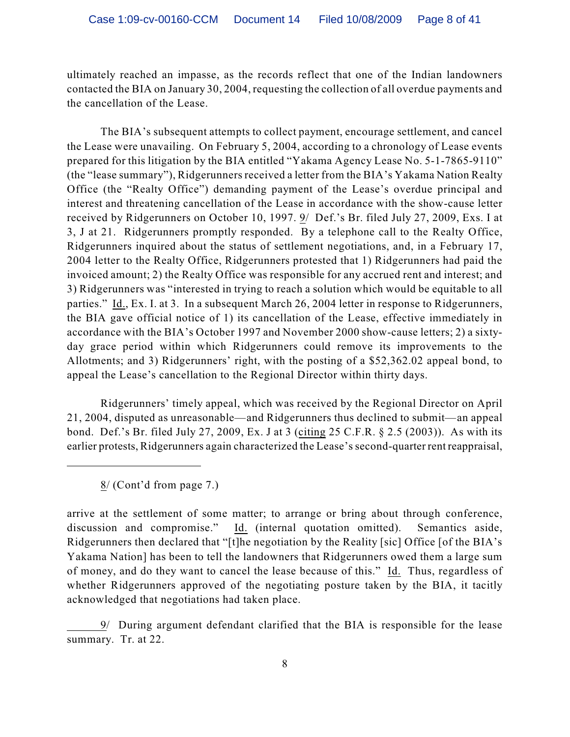ultimately reached an impasse, as the records reflect that one of the Indian landowners contacted the BIA on January 30, 2004, requesting the collection of all overdue payments and the cancellation of the Lease.

The BIA's subsequent attempts to collect payment, encourage settlement, and cancel the Lease were unavailing. On February 5, 2004, according to a chronology of Lease events prepared for this litigation by the BIA entitled "Yakama Agency Lease No. 5-1-7865-9110" (the "lease summary"), Ridgerunners received a letter from the BIA's Yakama Nation Realty Office (the "Realty Office") demanding payment of the Lease's overdue principal and interest and threatening cancellation of the Lease in accordance with the show-cause letter received by Ridgerunners on October 10, 1997. 9/ Def.'s Br. filed July 27, 2009, Exs. I at 3, J at 21. Ridgerunners promptly responded. By a telephone call to the Realty Office, Ridgerunners inquired about the status of settlement negotiations, and, in a February 17, 2004 letter to the Realty Office, Ridgerunners protested that 1) Ridgerunners had paid the invoiced amount; 2) the Realty Office was responsible for any accrued rent and interest; and 3) Ridgerunners was "interested in trying to reach a solution which would be equitable to all parties." Id., Ex. I. at 3. In a subsequent March 26, 2004 letter in response to Ridgerunners, the BIA gave official notice of 1) its cancellation of the Lease, effective immediately in accordance with the BIA's October 1997 and November 2000 show-cause letters; 2) a sixtyday grace period within which Ridgerunners could remove its improvements to the Allotments; and 3) Ridgerunners' right, with the posting of a \$52,362.02 appeal bond, to appeal the Lease's cancellation to the Regional Director within thirty days.

Ridgerunners' timely appeal, which was received by the Regional Director on April 21, 2004, disputed as unreasonable—and Ridgerunners thus declined to submit—an appeal bond. Def.'s Br. filed July 27, 2009, Ex. J at 3 (citing 25 C.F.R. § 2.5 (2003)). As with its earlier protests, Ridgerunners again characterized the Lease's second-quarter rent reappraisal,

 $8/$  (Cont'd from page 7.)

arrive at the settlement of some matter; to arrange or bring about through conference, discussion and compromise." Id. (internal quotation omitted). Semantics aside, Ridgerunners then declared that "[t]he negotiation by the Reality [sic] Office [of the BIA's Yakama Nation] has been to tell the landowners that Ridgerunners owed them a large sum of money, and do they want to cancel the lease because of this." Id. Thus, regardless of whether Ridgerunners approved of the negotiating posture taken by the BIA, it tacitly acknowledged that negotiations had taken place.

9/ During argument defendant clarified that the BIA is responsible for the lease summary. Tr. at 22.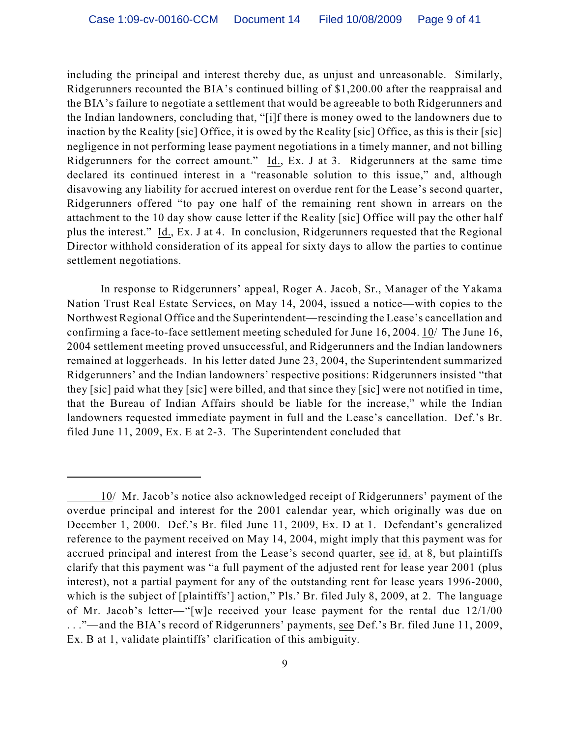including the principal and interest thereby due, as unjust and unreasonable. Similarly, Ridgerunners recounted the BIA's continued billing of \$1,200.00 after the reappraisal and the BIA's failure to negotiate a settlement that would be agreeable to both Ridgerunners and the Indian landowners, concluding that, "[i]f there is money owed to the landowners due to inaction by the Reality [sic] Office, it is owed by the Reality [sic] Office, as this is their [sic] negligence in not performing lease payment negotiations in a timely manner, and not billing Ridgerunners for the correct amount." Id., Ex. J at 3. Ridgerunners at the same time declared its continued interest in a "reasonable solution to this issue," and, although disavowing any liability for accrued interest on overdue rent for the Lease's second quarter, Ridgerunners offered "to pay one half of the remaining rent shown in arrears on the attachment to the 10 day show cause letter if the Reality [sic] Office will pay the other half plus the interest." Id., Ex. J at 4. In conclusion, Ridgerunners requested that the Regional Director withhold consideration of its appeal for sixty days to allow the parties to continue settlement negotiations.

In response to Ridgerunners' appeal, Roger A. Jacob, Sr., Manager of the Yakama Nation Trust Real Estate Services, on May 14, 2004, issued a notice—with copies to the Northwest Regional Office and the Superintendent—rescinding the Lease's cancellation and confirming a face-to-face settlement meeting scheduled for June 16, 2004. 10/ The June 16, 2004 settlement meeting proved unsuccessful, and Ridgerunners and the Indian landowners remained at loggerheads. In his letter dated June 23, 2004, the Superintendent summarized Ridgerunners' and the Indian landowners' respective positions: Ridgerunners insisted "that they [sic] paid what they [sic] were billed, and that since they [sic] were not notified in time, that the Bureau of Indian Affairs should be liable for the increase," while the Indian landowners requested immediate payment in full and the Lease's cancellation. Def.'s Br. filed June 11, 2009, Ex. E at 2-3. The Superintendent concluded that

<sup>10/</sup> Mr. Jacob's notice also acknowledged receipt of Ridgerunners' payment of the overdue principal and interest for the 2001 calendar year, which originally was due on December 1, 2000. Def.'s Br. filed June 11, 2009, Ex. D at 1. Defendant's generalized reference to the payment received on May 14, 2004, might imply that this payment was for accrued principal and interest from the Lease's second quarter, see id. at 8, but plaintiffs clarify that this payment was "a full payment of the adjusted rent for lease year 2001 (plus interest), not a partial payment for any of the outstanding rent for lease years 1996-2000, which is the subject of [plaintiffs'] action," Pls.' Br. filed July 8, 2009, at 2. The language of Mr. Jacob's letter—"[w]e received your lease payment for the rental due 12/1/00 . . ."—and the BIA's record of Ridgerunners' payments, see Def.'s Br. filed June 11, 2009, Ex. B at 1, validate plaintiffs' clarification of this ambiguity.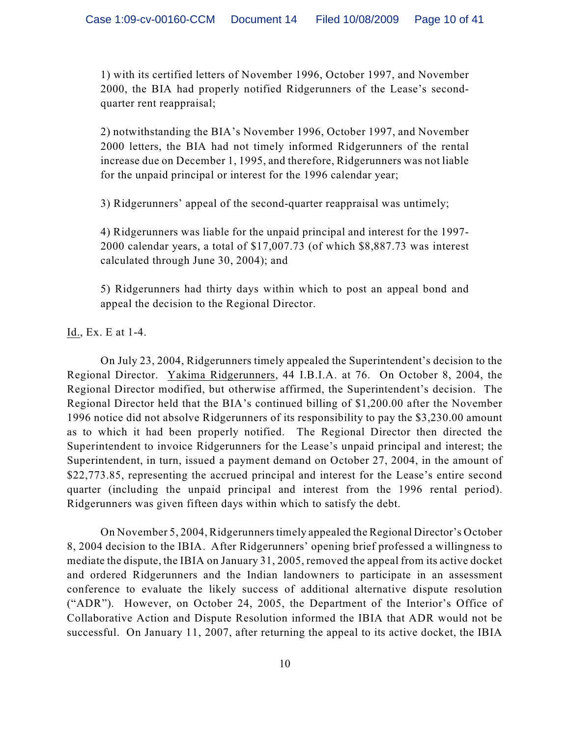1) with its certified letters of November 1996, October 1997, and November 2000, the BIA had properly notified Ridgerunners of the Lease's secondquarter rent reappraisal;

2) notwithstanding the BIA's November 1996, October 1997, and November 2000 letters, the BIA had not timely informed Ridgerunners of the rental increase due on December 1, 1995, and therefore, Ridgerunners was not liable for the unpaid principal or interest for the 1996 calendar year;

3) Ridgerunners' appeal of the second-quarter reappraisal was untimely;

4) Ridgerunners was liable for the unpaid principal and interest for the 1997- 2000 calendar years, a total of \$17,007.73 (of which \$8,887.73 was interest calculated through June 30, 2004); and

5) Ridgerunners had thirty days within which to post an appeal bond and appeal the decision to the Regional Director.

Id., Ex. E at 1-4.

On July 23, 2004, Ridgerunners timely appealed the Superintendent's decision to the Regional Director. Yakima Ridgerunners, 44 I.B.I.A. at 76. On October 8, 2004, the Regional Director modified, but otherwise affirmed, the Superintendent's decision. The Regional Director held that the BIA's continued billing of \$1,200.00 after the November 1996 notice did not absolve Ridgerunners of its responsibility to pay the \$3,230.00 amount as to which it had been properly notified. The Regional Director then directed the Superintendent to invoice Ridgerunners for the Lease's unpaid principal and interest; the Superintendent, in turn, issued a payment demand on October 27, 2004, in the amount of \$22,773.85, representing the accrued principal and interest for the Lease's entire second quarter (including the unpaid principal and interest from the 1996 rental period). Ridgerunners was given fifteen days within which to satisfy the debt.

On November 5, 2004, Ridgerunners timely appealed the Regional Director's October 8, 2004 decision to the IBIA. After Ridgerunners' opening brief professed a willingness to mediate the dispute, the IBIA on January 31, 2005, removed the appeal from its active docket and ordered Ridgerunners and the Indian landowners to participate in an assessment conference to evaluate the likely success of additional alternative dispute resolution ("ADR"). However, on October 24, 2005, the Department of the Interior's Office of Collaborative Action and Dispute Resolution informed the IBIA that ADR would not be successful. On January 11, 2007, after returning the appeal to its active docket, the IBIA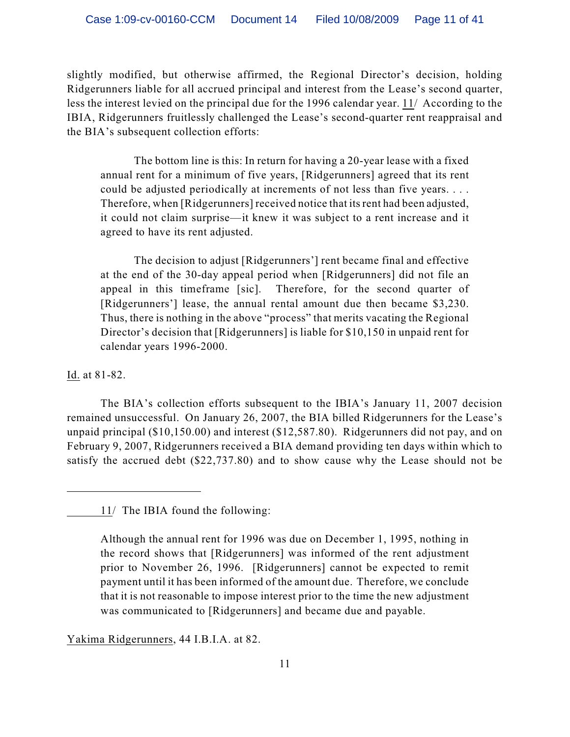slightly modified, but otherwise affirmed, the Regional Director's decision, holding Ridgerunners liable for all accrued principal and interest from the Lease's second quarter, less the interest levied on the principal due for the 1996 calendar year. 11/ According to the IBIA, Ridgerunners fruitlessly challenged the Lease's second-quarter rent reappraisal and the BIA's subsequent collection efforts:

The bottom line is this: In return for having a 20-year lease with a fixed annual rent for a minimum of five years, [Ridgerunners] agreed that its rent could be adjusted periodically at increments of not less than five years. . . . Therefore, when [Ridgerunners] received notice that its rent had been adjusted, it could not claim surprise—it knew it was subject to a rent increase and it agreed to have its rent adjusted.

The decision to adjust [Ridgerunners'] rent became final and effective at the end of the 30-day appeal period when [Ridgerunners] did not file an appeal in this timeframe [sic]. Therefore, for the second quarter of [Ridgerunners'] lease, the annual rental amount due then became \$3,230. Thus, there is nothing in the above "process" that merits vacating the Regional Director's decision that [Ridgerunners] is liable for \$10,150 in unpaid rent for calendar years 1996-2000.

## Id. at 81-82.

The BIA's collection efforts subsequent to the IBIA's January 11, 2007 decision remained unsuccessful. On January 26, 2007, the BIA billed Ridgerunners for the Lease's unpaid principal (\$10,150.00) and interest (\$12,587.80). Ridgerunners did not pay, and on February 9, 2007, Ridgerunners received a BIA demand providing ten days within which to satisfy the accrued debt (\$22,737.80) and to show cause why the Lease should not be

11/ The IBIA found the following:

Yakima Ridgerunners, 44 I.B.I.A. at 82.

Although the annual rent for 1996 was due on December 1, 1995, nothing in the record shows that [Ridgerunners] was informed of the rent adjustment prior to November 26, 1996. [Ridgerunners] cannot be expected to remit payment until it has been informed of the amount due. Therefore, we conclude that it is not reasonable to impose interest prior to the time the new adjustment was communicated to [Ridgerunners] and became due and payable.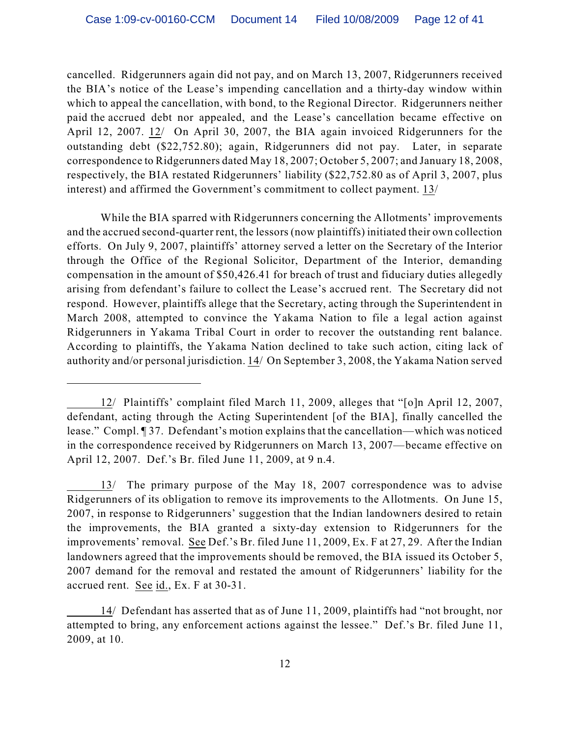cancelled. Ridgerunners again did not pay, and on March 13, 2007, Ridgerunners received the BIA's notice of the Lease's impending cancellation and a thirty-day window within which to appeal the cancellation, with bond, to the Regional Director. Ridgerunners neither paid the accrued debt nor appealed, and the Lease's cancellation became effective on April 12, 2007. 12/ On April 30, 2007, the BIA again invoiced Ridgerunners for the outstanding debt (\$22,752.80); again, Ridgerunners did not pay. Later, in separate correspondence to Ridgerunners dated May 18, 2007; October 5, 2007; and January 18, 2008, respectively, the BIA restated Ridgerunners' liability (\$22,752.80 as of April 3, 2007, plus interest) and affirmed the Government's commitment to collect payment. 13/

While the BIA sparred with Ridgerunners concerning the Allotments' improvements and the accrued second-quarter rent, the lessors (now plaintiffs) initiated their own collection efforts. On July 9, 2007, plaintiffs' attorney served a letter on the Secretary of the Interior through the Office of the Regional Solicitor, Department of the Interior, demanding compensation in the amount of \$50,426.41 for breach of trust and fiduciary duties allegedly arising from defendant's failure to collect the Lease's accrued rent. The Secretary did not respond. However, plaintiffs allege that the Secretary, acting through the Superintendent in March 2008, attempted to convince the Yakama Nation to file a legal action against Ridgerunners in Yakama Tribal Court in order to recover the outstanding rent balance. According to plaintiffs, the Yakama Nation declined to take such action, citing lack of authority and/or personal jurisdiction. 14/ On September 3, 2008, the Yakama Nation served

<sup>12/</sup> Plaintiffs' complaint filed March 11, 2009, alleges that "[o]n April 12, 2007, defendant, acting through the Acting Superintendent [of the BIA], finally cancelled the lease." Compl. ¶ 37. Defendant's motion explains that the cancellation—which was noticed in the correspondence received by Ridgerunners on March 13, 2007—became effective on April 12, 2007. Def.'s Br. filed June 11, 2009, at 9 n.4.

<sup>13/</sup> The primary purpose of the May 18, 2007 correspondence was to advise Ridgerunners of its obligation to remove its improvements to the Allotments. On June 15, 2007, in response to Ridgerunners' suggestion that the Indian landowners desired to retain the improvements, the BIA granted a sixty-day extension to Ridgerunners for the improvements' removal. See Def.'s Br. filed June 11, 2009, Ex. F at 27, 29. After the Indian landowners agreed that the improvements should be removed, the BIA issued its October 5, 2007 demand for the removal and restated the amount of Ridgerunners' liability for the accrued rent. See id., Ex. F at 30-31.

<sup>14/</sup> Defendant has asserted that as of June 11, 2009, plaintiffs had "not brought, nor attempted to bring, any enforcement actions against the lessee." Def.'s Br. filed June 11, 2009, at 10.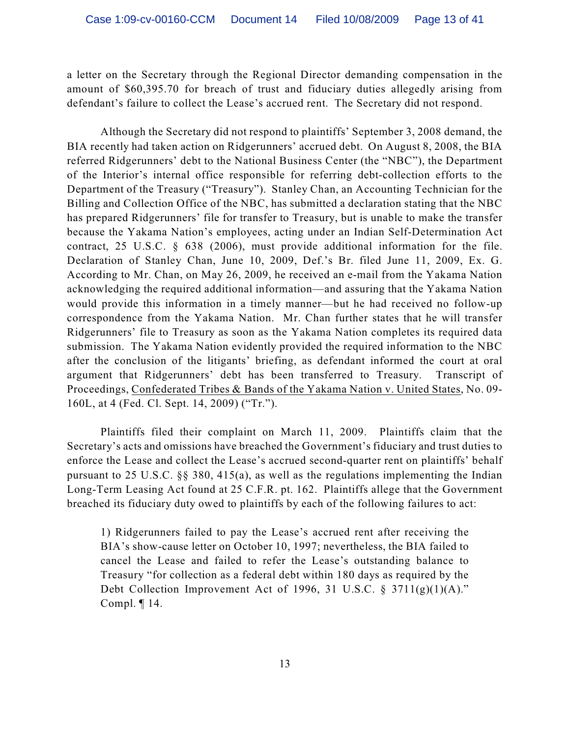a letter on the Secretary through the Regional Director demanding compensation in the amount of \$60,395.70 for breach of trust and fiduciary duties allegedly arising from defendant's failure to collect the Lease's accrued rent. The Secretary did not respond.

Although the Secretary did not respond to plaintiffs' September 3, 2008 demand, the BIA recently had taken action on Ridgerunners' accrued debt. On August 8, 2008, the BIA referred Ridgerunners' debt to the National Business Center (the "NBC"), the Department of the Interior's internal office responsible for referring debt-collection efforts to the Department of the Treasury ("Treasury"). Stanley Chan, an Accounting Technician for the Billing and Collection Office of the NBC, has submitted a declaration stating that the NBC has prepared Ridgerunners' file for transfer to Treasury, but is unable to make the transfer because the Yakama Nation's employees, acting under an Indian Self-Determination Act contract, 25 U.S.C. § 638 (2006), must provide additional information for the file. Declaration of Stanley Chan, June 10, 2009, Def.'s Br. filed June 11, 2009, Ex. G. According to Mr. Chan, on May 26, 2009, he received an e-mail from the Yakama Nation acknowledging the required additional information—and assuring that the Yakama Nation would provide this information in a timely manner—but he had received no follow-up correspondence from the Yakama Nation. Mr. Chan further states that he will transfer Ridgerunners' file to Treasury as soon as the Yakama Nation completes its required data submission. The Yakama Nation evidently provided the required information to the NBC after the conclusion of the litigants' briefing, as defendant informed the court at oral argument that Ridgerunners' debt has been transferred to Treasury. Transcript of Proceedings, Confederated Tribes & Bands of the Yakama Nation v. United States, No. 09- 160L, at 4 (Fed. Cl. Sept. 14, 2009) ("Tr.").

Plaintiffs filed their complaint on March 11, 2009. Plaintiffs claim that the Secretary's acts and omissions have breached the Government's fiduciary and trust duties to enforce the Lease and collect the Lease's accrued second-quarter rent on plaintiffs' behalf pursuant to 25 U.S.C. §§ 380, 415(a), as well as the regulations implementing the Indian Long-Term Leasing Act found at 25 C.F.R. pt. 162. Plaintiffs allege that the Government breached its fiduciary duty owed to plaintiffs by each of the following failures to act:

1) Ridgerunners failed to pay the Lease's accrued rent after receiving the BIA's show-cause letter on October 10, 1997; nevertheless, the BIA failed to cancel the Lease and failed to refer the Lease's outstanding balance to Treasury "for collection as a federal debt within 180 days as required by the Debt Collection Improvement Act of 1996, 31 U.S.C.  $\S$  3711(g)(1)(A)." Compl. ¶ 14.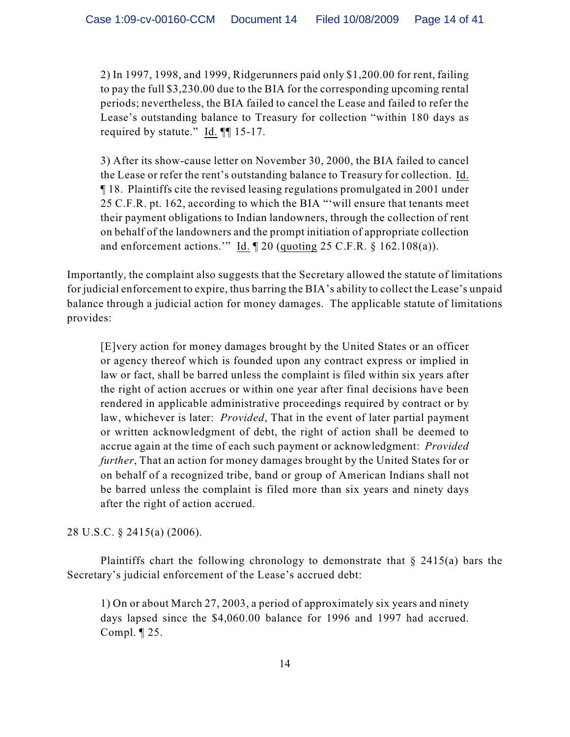2) In 1997, 1998, and 1999, Ridgerunners paid only \$1,200.00 for rent, failing to pay the full \$3,230.00 due to the BIA for the corresponding upcoming rental periods; nevertheless, the BIA failed to cancel the Lease and failed to refer the Lease's outstanding balance to Treasury for collection "within 180 days as required by statute." Id. ¶¶ 15-17.

3) After its show-cause letter on November 30, 2000, the BIA failed to cancel the Lease or refer the rent's outstanding balance to Treasury for collection. Id. ¶ 18. Plaintiffs cite the revised leasing regulations promulgated in 2001 under 25 C.F.R. pt. 162, according to which the BIA "'will ensure that tenants meet their payment obligations to Indian landowners, through the collection of rent on behalf of the landowners and the prompt initiation of appropriate collection and enforcement actions." Id.  $\P$  20 (quoting 25 C.F.R. § 162.108(a)).

Importantly, the complaint also suggests that the Secretary allowed the statute of limitations for judicial enforcement to expire, thus barring the BIA's ability to collect the Lease's unpaid balance through a judicial action for money damages. The applicable statute of limitations provides:

[E]very action for money damages brought by the United States or an officer or agency thereof which is founded upon any contract express or implied in law or fact, shall be barred unless the complaint is filed within six years after the right of action accrues or within one year after final decisions have been rendered in applicable administrative proceedings required by contract or by law, whichever is later: *Provided*, That in the event of later partial payment or written acknowledgment of debt, the right of action shall be deemed to accrue again at the time of each such payment or acknowledgment: *Provided further*, That an action for money damages brought by the United States for or on behalf of a recognized tribe, band or group of American Indians shall not be barred unless the complaint is filed more than six years and ninety days after the right of action accrued.

28 U.S.C. § 2415(a) (2006).

Plaintiffs chart the following chronology to demonstrate that  $\S$  2415(a) bars the Secretary's judicial enforcement of the Lease's accrued debt:

1) On or about March 27, 2003, a period of approximately six years and ninety days lapsed since the \$4,060.00 balance for 1996 and 1997 had accrued. Compl. ¶ 25.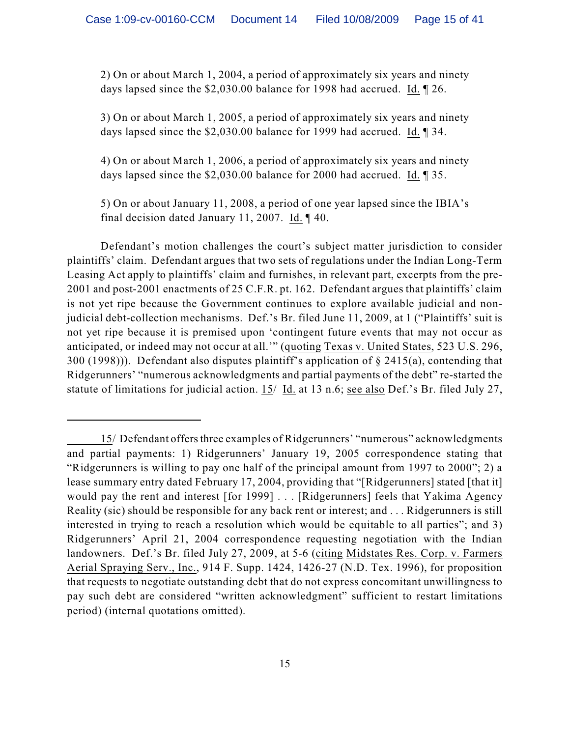2) On or about March 1, 2004, a period of approximately six years and ninety days lapsed since the \$2,030.00 balance for 1998 had accrued. Id. ¶ 26.

3) On or about March 1, 2005, a period of approximately six years and ninety days lapsed since the \$2,030.00 balance for 1999 had accrued. Id. ¶ 34.

4) On or about March 1, 2006, a period of approximately six years and ninety days lapsed since the \$2,030.00 balance for 2000 had accrued. Id. ¶ 35.

5) On or about January 11, 2008, a period of one year lapsed since the IBIA's final decision dated January 11, 2007. Id. ¶ 40.

Defendant's motion challenges the court's subject matter jurisdiction to consider plaintiffs' claim. Defendant argues that two sets of regulations under the Indian Long-Term Leasing Act apply to plaintiffs' claim and furnishes, in relevant part, excerpts from the pre-2001 and post-2001 enactments of 25 C.F.R. pt. 162. Defendant argues that plaintiffs' claim is not yet ripe because the Government continues to explore available judicial and nonjudicial debt-collection mechanisms. Def.'s Br. filed June 11, 2009, at 1 ("Plaintiffs' suit is not yet ripe because it is premised upon 'contingent future events that may not occur as anticipated, or indeed may not occur at all.'" (quoting Texas v. United States, 523 U.S. 296, 300 (1998))). Defendant also disputes plaintiff's application of  $\S$  2415(a), contending that Ridgerunners' "numerous acknowledgments and partial payments of the debt" re-started the statute of limitations for judicial action. 15/ Id. at 13 n.6; see also Def.'s Br. filed July 27,

<sup>15/</sup> Defendant offers three examples of Ridgerunners' "numerous" acknowledgments and partial payments: 1) Ridgerunners' January 19, 2005 correspondence stating that "Ridgerunners is willing to pay one half of the principal amount from 1997 to 2000"; 2) a lease summary entry dated February 17, 2004, providing that "[Ridgerunners] stated [that it] would pay the rent and interest [for 1999] . . . [Ridgerunners] feels that Yakima Agency Reality (sic) should be responsible for any back rent or interest; and . . . Ridgerunners is still interested in trying to reach a resolution which would be equitable to all parties"; and 3) Ridgerunners' April 21, 2004 correspondence requesting negotiation with the Indian landowners. Def.'s Br. filed July 27, 2009, at 5-6 (citing Midstates Res. Corp. v. Farmers Aerial Spraying Serv., Inc., 914 F. Supp. 1424, 1426-27 (N.D. Tex. 1996), for proposition that requests to negotiate outstanding debt that do not express concomitant unwillingness to pay such debt are considered "written acknowledgment" sufficient to restart limitations period) (internal quotations omitted).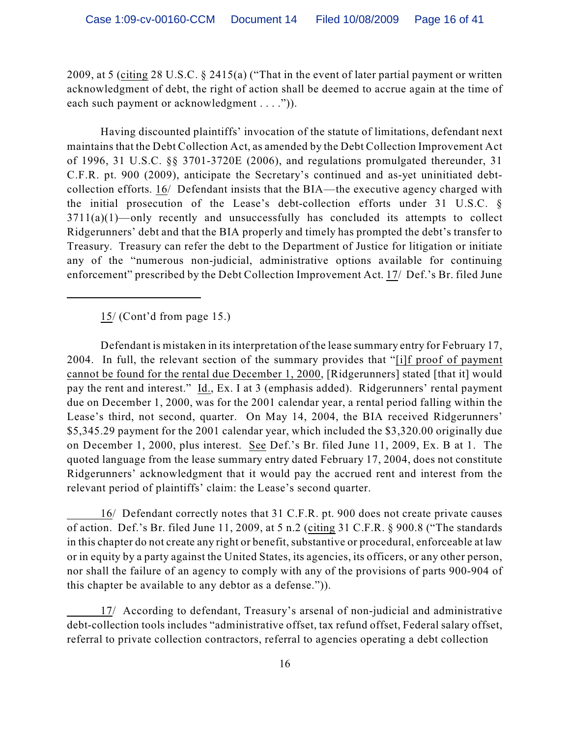2009, at 5 (citing 28 U.S.C. § 2415(a) ("That in the event of later partial payment or written acknowledgment of debt, the right of action shall be deemed to accrue again at the time of each such payment or acknowledgment . . . .")).

Having discounted plaintiffs' invocation of the statute of limitations, defendant next maintains that the Debt Collection Act, as amended by the Debt Collection Improvement Act of 1996, 31 U.S.C. §§ 3701-3720E (2006), and regulations promulgated thereunder, 31 C.F.R. pt. 900 (2009), anticipate the Secretary's continued and as-yet uninitiated debtcollection efforts. 16/ Defendant insists that the BIA—the executive agency charged with the initial prosecution of the Lease's debt-collection efforts under 31 U.S.C. §  $3711(a)(1)$ —only recently and unsuccessfully has concluded its attempts to collect Ridgerunners' debt and that the BIA properly and timely has prompted the debt's transfer to Treasury. Treasury can refer the debt to the Department of Justice for litigation or initiate any of the "numerous non-judicial, administrative options available for continuing enforcement" prescribed by the Debt Collection Improvement Act. 17/ Def.'s Br. filed June

15/ (Cont'd from page 15.)

Defendant is mistaken in its interpretation of the lease summary entry for February 17, 2004. In full, the relevant section of the summary provides that "[i]f proof of payment cannot be found for the rental due December 1, 2000, [Ridgerunners] stated [that it] would pay the rent and interest." Id., Ex. I at 3 (emphasis added). Ridgerunners' rental payment due on December 1, 2000, was for the 2001 calendar year, a rental period falling within the Lease's third, not second, quarter. On May 14, 2004, the BIA received Ridgerunners' \$5,345.29 payment for the 2001 calendar year, which included the \$3,320.00 originally due on December 1, 2000, plus interest. See Def.'s Br. filed June 11, 2009, Ex. B at 1. The quoted language from the lease summary entry dated February 17, 2004, does not constitute Ridgerunners' acknowledgment that it would pay the accrued rent and interest from the relevant period of plaintiffs' claim: the Lease's second quarter.

16/ Defendant correctly notes that 31 C.F.R. pt. 900 does not create private causes of action. Def.'s Br. filed June 11, 2009, at 5 n.2 (citing 31 C.F.R. § 900.8 ("The standards in this chapter do not create any right or benefit, substantive or procedural, enforceable at law or in equity by a party against the United States, its agencies, its officers, or any other person, nor shall the failure of an agency to comply with any of the provisions of parts 900-904 of this chapter be available to any debtor as a defense.")).

17/ According to defendant, Treasury's arsenal of non-judicial and administrative debt-collection tools includes "administrative offset, tax refund offset, Federal salary offset, referral to private collection contractors, referral to agencies operating a debt collection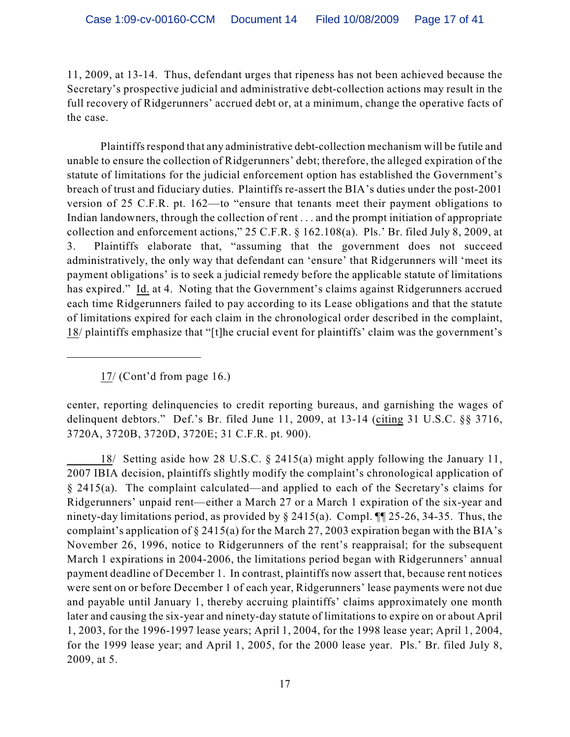11, 2009, at 13-14. Thus, defendant urges that ripeness has not been achieved because the Secretary's prospective judicial and administrative debt-collection actions may result in the full recovery of Ridgerunners' accrued debt or, at a minimum, change the operative facts of the case.

Plaintiffs respond that any administrative debt-collection mechanism will be futile and unable to ensure the collection of Ridgerunners' debt; therefore, the alleged expiration of the statute of limitations for the judicial enforcement option has established the Government's breach of trust and fiduciary duties. Plaintiffs re-assert the BIA's duties under the post-2001 version of 25 C.F.R. pt. 162—to "ensure that tenants meet their payment obligations to Indian landowners, through the collection of rent . . . and the prompt initiation of appropriate collection and enforcement actions," 25 C.F.R. § 162.108(a). Pls.' Br. filed July 8, 2009, at 3. Plaintiffs elaborate that, "assuming that the government does not succeed administratively, the only way that defendant can 'ensure' that Ridgerunners will 'meet its payment obligations' is to seek a judicial remedy before the applicable statute of limitations has expired." Id. at 4. Noting that the Government's claims against Ridgerunners accrued each time Ridgerunners failed to pay according to its Lease obligations and that the statute of limitations expired for each claim in the chronological order described in the complaint, 18/ plaintiffs emphasize that "[t]he crucial event for plaintiffs' claim was the government's

17/ (Cont'd from page 16.)

center, reporting delinquencies to credit reporting bureaus, and garnishing the wages of delinquent debtors." Def.'s Br. filed June 11, 2009, at 13-14 (citing 31 U.S.C. §§ 3716, 3720A, 3720B, 3720D, 3720E; 31 C.F.R. pt. 900).

18/ Setting aside how 28 U.S.C. § 2415(a) might apply following the January 11, 2007 IBIA decision, plaintiffs slightly modify the complaint's chronological application of § 2415(a). The complaint calculated—and applied to each of the Secretary's claims for Ridgerunners' unpaid rent—either a March 27 or a March 1 expiration of the six-year and ninety-day limitations period, as provided by  $\S 2415(a)$ . Compl.  $\P$  25-26, 34-35. Thus, the complaint's application of  $\S 2415(a)$  for the March 27, 2003 expiration began with the BIA's November 26, 1996, notice to Ridgerunners of the rent's reappraisal; for the subsequent March 1 expirations in 2004-2006, the limitations period began with Ridgerunners' annual payment deadline of December 1. In contrast, plaintiffs now assert that, because rent notices were sent on or before December 1 of each year, Ridgerunners' lease payments were not due and payable until January 1, thereby accruing plaintiffs' claims approximately one month later and causing the six-year and ninety-day statute of limitations to expire on or about April 1, 2003, for the 1996-1997 lease years; April 1, 2004, for the 1998 lease year; April 1, 2004, for the 1999 lease year; and April 1, 2005, for the 2000 lease year. Pls.' Br. filed July 8, 2009, at 5.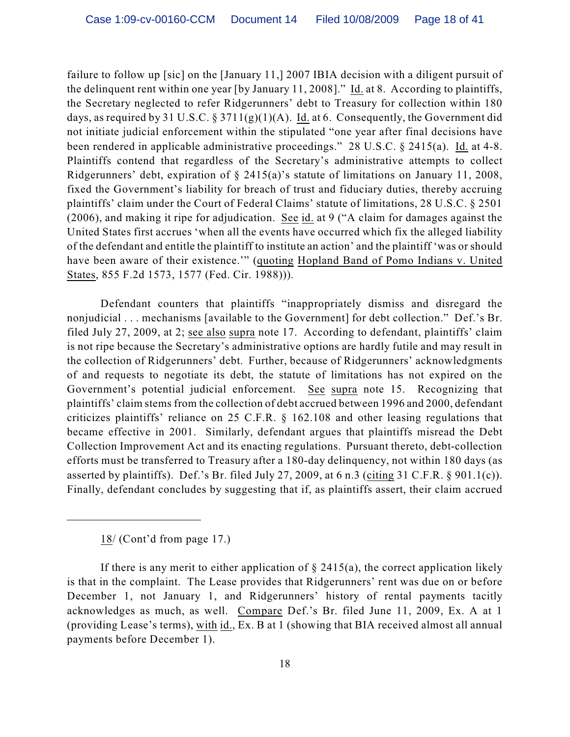failure to follow up [sic] on the [January 11,] 2007 IBIA decision with a diligent pursuit of the delinquent rent within one year [by January 11, 2008]." Id. at 8. According to plaintiffs, the Secretary neglected to refer Ridgerunners' debt to Treasury for collection within 180 days, as required by 31 U.S.C. § 3711(g)(1)(A). Id. at 6. Consequently, the Government did not initiate judicial enforcement within the stipulated "one year after final decisions have been rendered in applicable administrative proceedings." 28 U.S.C. § 2415(a). Id. at 4-8. Plaintiffs contend that regardless of the Secretary's administrative attempts to collect Ridgerunners' debt, expiration of § 2415(a)'s statute of limitations on January 11, 2008, fixed the Government's liability for breach of trust and fiduciary duties, thereby accruing plaintiffs' claim under the Court of Federal Claims' statute of limitations, 28 U.S.C. § 2501 (2006), and making it ripe for adjudication. See id. at 9 ("A claim for damages against the United States first accrues 'when all the events have occurred which fix the alleged liability of the defendant and entitle the plaintiff to institute an action' and the plaintiff 'was or should have been aware of their existence.'" (quoting Hopland Band of Pomo Indians v. United States, 855 F.2d 1573, 1577 (Fed. Cir. 1988))).

Defendant counters that plaintiffs "inappropriately dismiss and disregard the nonjudicial . . . mechanisms [available to the Government] for debt collection." Def.'s Br. filed July 27, 2009, at 2; see also supra note 17. According to defendant, plaintiffs' claim is not ripe because the Secretary's administrative options are hardly futile and may result in the collection of Ridgerunners' debt. Further, because of Ridgerunners' acknowledgments of and requests to negotiate its debt, the statute of limitations has not expired on the Government's potential judicial enforcement. See supra note 15. Recognizing that plaintiffs' claim stems from the collection of debt accrued between 1996 and 2000, defendant criticizes plaintiffs' reliance on 25 C.F.R. § 162.108 and other leasing regulations that became effective in 2001. Similarly, defendant argues that plaintiffs misread the Debt Collection Improvement Act and its enacting regulations. Pursuant thereto, debt-collection efforts must be transferred to Treasury after a 180-day delinquency, not within 180 days (as asserted by plaintiffs). Def.'s Br. filed July 27, 2009, at 6 n.3 (citing 31 C.F.R. § 901.1(c)). Finally, defendant concludes by suggesting that if, as plaintiffs assert, their claim accrued

18/ (Cont'd from page 17.)

If there is any merit to either application of  $\S$  2415(a), the correct application likely is that in the complaint. The Lease provides that Ridgerunners' rent was due on or before December 1, not January 1, and Ridgerunners' history of rental payments tacitly acknowledges as much, as well. Compare Def.'s Br. filed June 11, 2009, Ex. A at 1 (providing Lease's terms), with id., Ex. B at 1 (showing that BIA received almost all annual payments before December 1).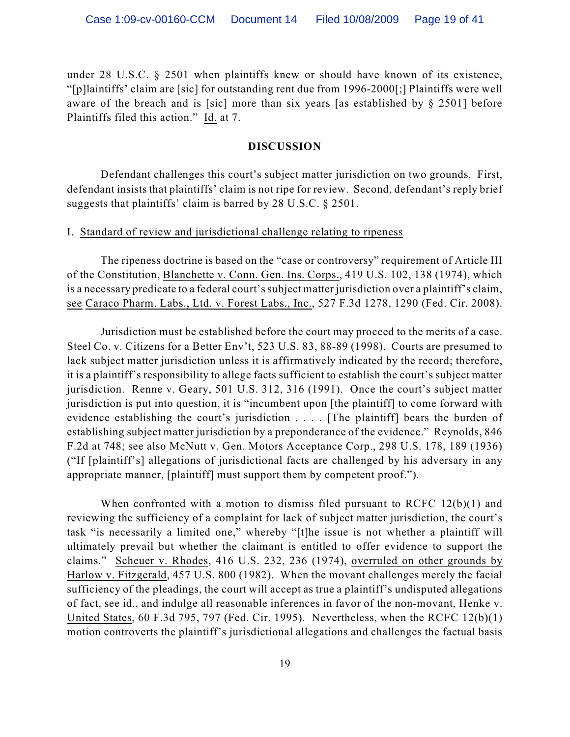under 28 U.S.C. § 2501 when plaintiffs knew or should have known of its existence, "[p]laintiffs' claim are [sic] for outstanding rent due from 1996-2000[;] Plaintiffs were well aware of the breach and is [sic] more than six years [as established by § 2501] before Plaintiffs filed this action." Id. at 7.

#### **DISCUSSION**

Defendant challenges this court's subject matter jurisdiction on two grounds. First, defendant insists that plaintiffs' claim is not ripe for review. Second, defendant's reply brief suggests that plaintiffs' claim is barred by 28 U.S.C. § 2501.

#### I. Standard of review and jurisdictional challenge relating to ripeness

The ripeness doctrine is based on the "case or controversy" requirement of Article III of the Constitution, Blanchette v. Conn. Gen. Ins. Corps., 419 U.S. 102, 138 (1974), which is a necessary predicate to a federal court's subject matter jurisdiction over a plaintiff's claim, see Caraco Pharm. Labs., Ltd. v. Forest Labs., Inc., 527 F.3d 1278, 1290 (Fed. Cir. 2008).

Jurisdiction must be established before the court may proceed to the merits of a case. Steel Co. v. Citizens for a Better Env't, 523 U.S. 83, 88-89 (1998). Courts are presumed to lack subject matter jurisdiction unless it is affirmatively indicated by the record; therefore, it is a plaintiff's responsibility to allege facts sufficient to establish the court's subject matter jurisdiction. Renne v. Geary, 501 U.S. 312, 316 (1991). Once the court's subject matter jurisdiction is put into question, it is "incumbent upon [the plaintiff] to come forward with evidence establishing the court's jurisdiction . . . . [The plaintiff] bears the burden of establishing subject matter jurisdiction by a preponderance of the evidence." Reynolds, 846 F.2d at 748; see also McNutt v. Gen. Motors Acceptance Corp., 298 U.S. 178, 189 (1936) ("If [plaintiff's] allegations of jurisdictional facts are challenged by his adversary in any appropriate manner, [plaintiff] must support them by competent proof.").

When confronted with a motion to dismiss filed pursuant to RCFC  $12(b)(1)$  and reviewing the sufficiency of a complaint for lack of subject matter jurisdiction, the court's task "is necessarily a limited one," whereby "[t]he issue is not whether a plaintiff will ultimately prevail but whether the claimant is entitled to offer evidence to support the claims." Scheuer v. Rhodes, 416 U.S. 232, 236 (1974), overruled on other grounds by Harlow v. Fitzgerald, 457 U.S. 800 (1982). When the movant challenges merely the facial sufficiency of the pleadings, the court will accept as true a plaintiff's undisputed allegations of fact, see id., and indulge all reasonable inferences in favor of the non-movant, Henke v. United States, 60 F.3d 795, 797 (Fed. Cir. 1995). Nevertheless, when the RCFC 12(b)(1) motion controverts the plaintiff's jurisdictional allegations and challenges the factual basis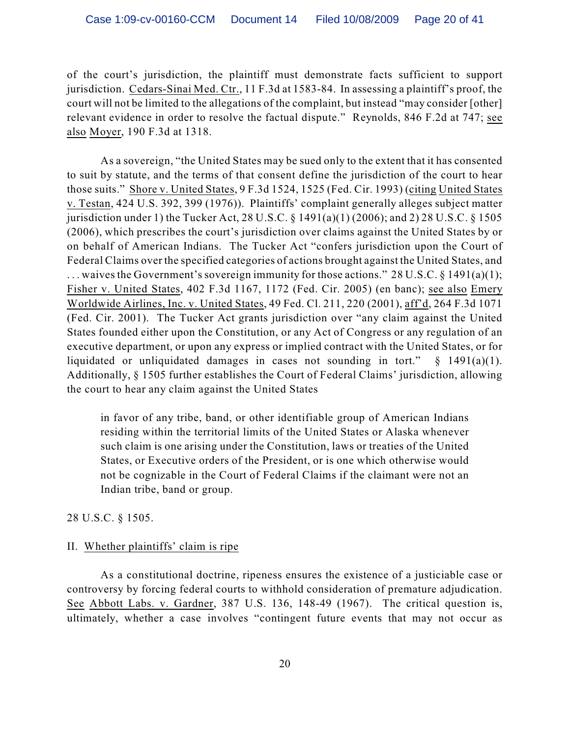of the court's jurisdiction, the plaintiff must demonstrate facts sufficient to support jurisdiction. Cedars-Sinai Med. Ctr., 11 F.3d at 1583-84. In assessing a plaintiff's proof, the court will not be limited to the allegations of the complaint, but instead "may consider [other] relevant evidence in order to resolve the factual dispute." Reynolds, 846 F.2d at 747; see also Moyer, 190 F.3d at 1318.

As a sovereign, "the United States may be sued only to the extent that it has consented to suit by statute, and the terms of that consent define the jurisdiction of the court to hear those suits." Shore v. United States, 9 F.3d 1524, 1525 (Fed. Cir. 1993) (citing United States v. Testan, 424 U.S. 392, 399 (1976)). Plaintiffs' complaint generally alleges subject matter jurisdiction under 1) the Tucker Act, 28 U.S.C. § 1491(a)(1) (2006); and 2) 28 U.S.C. § 1505 (2006), which prescribes the court's jurisdiction over claims against the United States by or on behalf of American Indians. The Tucker Act "confers jurisdiction upon the Court of Federal Claims over the specified categories of actions brought against the United States, and ... waives the Government's sovereign immunity for those actions." 28 U.S.C. § 1491(a)(1); Fisher v. United States, 402 F.3d 1167, 1172 (Fed. Cir. 2005) (en banc); see also Emery Worldwide Airlines, Inc. v. United States, 49 Fed. Cl. 211, 220 (2001), aff'd, 264 F.3d 1071 (Fed. Cir. 2001). The Tucker Act grants jurisdiction over "any claim against the United States founded either upon the Constitution, or any Act of Congress or any regulation of an executive department, or upon any express or implied contract with the United States, or for liquidated or unliquidated damages in cases not sounding in tort."  $\S$  1491(a)(1). Additionally, § 1505 further establishes the Court of Federal Claims' jurisdiction, allowing the court to hear any claim against the United States

in favor of any tribe, band, or other identifiable group of American Indians residing within the territorial limits of the United States or Alaska whenever such claim is one arising under the Constitution, laws or treaties of the United States, or Executive orders of the President, or is one which otherwise would not be cognizable in the Court of Federal Claims if the claimant were not an Indian tribe, band or group.

28 U.S.C. § 1505.

## II. Whether plaintiffs' claim is ripe

As a constitutional doctrine, ripeness ensures the existence of a justiciable case or controversy by forcing federal courts to withhold consideration of premature adjudication. See Abbott Labs. v. Gardner, 387 U.S. 136, 148-49 (1967). The critical question is, ultimately, whether a case involves "contingent future events that may not occur as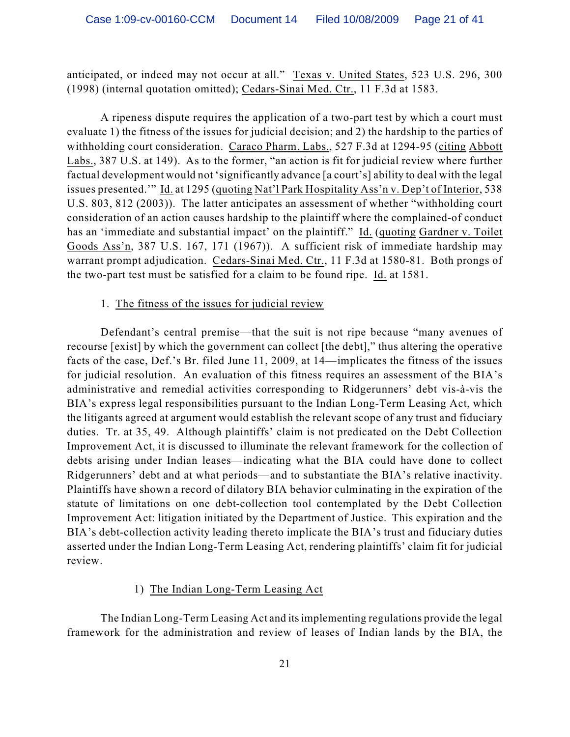anticipated, or indeed may not occur at all." Texas v. United States, 523 U.S. 296, 300 (1998) (internal quotation omitted); Cedars-Sinai Med. Ctr., 11 F.3d at 1583.

A ripeness dispute requires the application of a two-part test by which a court must evaluate 1) the fitness of the issues for judicial decision; and 2) the hardship to the parties of withholding court consideration. Caraco Pharm. Labs., 527 F.3d at 1294-95 (citing Abbott Labs., 387 U.S. at 149). As to the former, "an action is fit for judicial review where further factual development would not 'significantly advance [a court's] ability to deal with the legal issues presented.'" Id. at 1295 (quoting Nat'l Park Hospitality Ass'n v. Dep't of Interior, 538 U.S. 803, 812 (2003)). The latter anticipates an assessment of whether "withholding court consideration of an action causes hardship to the plaintiff where the complained-of conduct has an 'immediate and substantial impact' on the plaintiff." Id. (quoting Gardner v. Toilet Goods Ass'n, 387 U.S. 167, 171 (1967)). A sufficient risk of immediate hardship may warrant prompt adjudication. Cedars-Sinai Med. Ctr., 11 F.3d at 1580-81. Both prongs of the two-part test must be satisfied for a claim to be found ripe. Id. at 1581.

#### 1. The fitness of the issues for judicial review

Defendant's central premise—that the suit is not ripe because "many avenues of recourse [exist] by which the government can collect [the debt]," thus altering the operative facts of the case, Def.'s Br. filed June 11, 2009, at 14—implicates the fitness of the issues for judicial resolution. An evaluation of this fitness requires an assessment of the BIA's administrative and remedial activities corresponding to Ridgerunners' debt vis-à-vis the BIA's express legal responsibilities pursuant to the Indian Long-Term Leasing Act, which the litigants agreed at argument would establish the relevant scope of any trust and fiduciary duties. Tr. at 35, 49. Although plaintiffs' claim is not predicated on the Debt Collection Improvement Act, it is discussed to illuminate the relevant framework for the collection of debts arising under Indian leases—indicating what the BIA could have done to collect Ridgerunners' debt and at what periods—and to substantiate the BIA's relative inactivity. Plaintiffs have shown a record of dilatory BIA behavior culminating in the expiration of the statute of limitations on one debt-collection tool contemplated by the Debt Collection Improvement Act: litigation initiated by the Department of Justice. This expiration and the BIA's debt-collection activity leading thereto implicate the BIA's trust and fiduciary duties asserted under the Indian Long-Term Leasing Act, rendering plaintiffs' claim fit for judicial review.

## 1) The Indian Long-Term Leasing Act

The Indian Long-Term Leasing Act and its implementing regulations provide the legal framework for the administration and review of leases of Indian lands by the BIA, the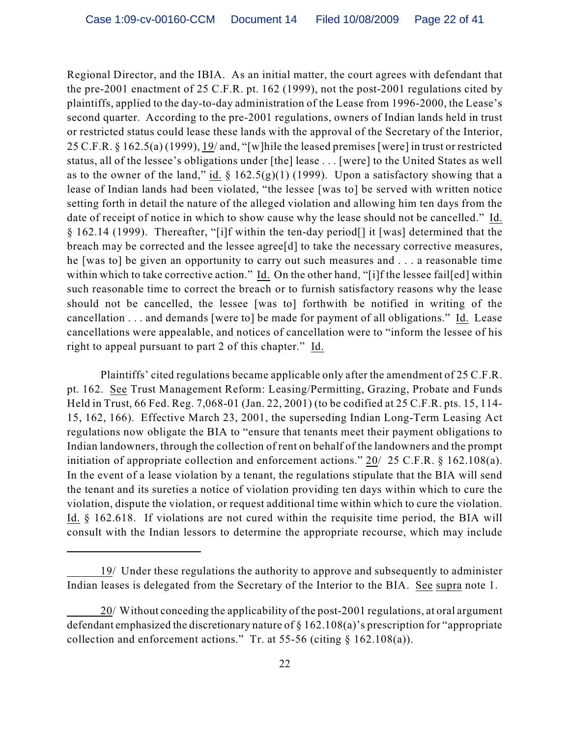Regional Director, and the IBIA. As an initial matter, the court agrees with defendant that the pre-2001 enactment of 25 C.F.R. pt. 162 (1999), not the post-2001 regulations cited by plaintiffs, applied to the day-to-day administration of the Lease from 1996-2000, the Lease's second quarter. According to the pre-2001 regulations, owners of Indian lands held in trust or restricted status could lease these lands with the approval of the Secretary of the Interior, 25 C.F.R. § 162.5(a) (1999), 19/ and, "[w]hile the leased premises [were] in trust or restricted status, all of the lessee's obligations under [the] lease . . . [were] to the United States as well as to the owner of the land," id.  $\S$  162.5(g)(1) (1999). Upon a satisfactory showing that a lease of Indian lands had been violated, "the lessee [was to] be served with written notice setting forth in detail the nature of the alleged violation and allowing him ten days from the date of receipt of notice in which to show cause why the lease should not be cancelled." Id. § 162.14 (1999). Thereafter, "[i]f within the ten-day period[] it [was] determined that the breach may be corrected and the lessee agree[d] to take the necessary corrective measures, he [was to] be given an opportunity to carry out such measures and . . . a reasonable time within which to take corrective action." Id. On the other hand, "[i]f the lessee fail[ed] within such reasonable time to correct the breach or to furnish satisfactory reasons why the lease should not be cancelled, the lessee [was to] forthwith be notified in writing of the cancellation . . . and demands [were to] be made for payment of all obligations." Id. Lease cancellations were appealable, and notices of cancellation were to "inform the lessee of his right to appeal pursuant to part 2 of this chapter." Id.

Plaintiffs' cited regulations became applicable only after the amendment of 25 C.F.R. pt. 162. See Trust Management Reform: Leasing/Permitting, Grazing, Probate and Funds Held in Trust, 66 Fed. Reg. 7,068-01 (Jan. 22, 2001) (to be codified at 25 C.F.R. pts. 15, 114- 15, 162, 166). Effective March 23, 2001, the superseding Indian Long-Term Leasing Act regulations now obligate the BIA to "ensure that tenants meet their payment obligations to Indian landowners, through the collection of rent on behalf of the landowners and the prompt initiation of appropriate collection and enforcement actions." 20/ 25 C.F.R. § 162.108(a). In the event of a lease violation by a tenant, the regulations stipulate that the BIA will send the tenant and its sureties a notice of violation providing ten days within which to cure the violation, dispute the violation, or request additional time within which to cure the violation. Id. § 162.618. If violations are not cured within the requisite time period, the BIA will consult with the Indian lessors to determine the appropriate recourse, which may include

<sup>19/</sup> Under these regulations the authority to approve and subsequently to administer Indian leases is delegated from the Secretary of the Interior to the BIA. See supra note 1.

<sup>20/</sup> Without conceding the applicability of the post-2001 regulations, at oral argument defendant emphasized the discretionary nature of § 162.108(a)'s prescription for "appropriate collection and enforcement actions." Tr. at 55-56 (citing  $\S$  162.108(a)).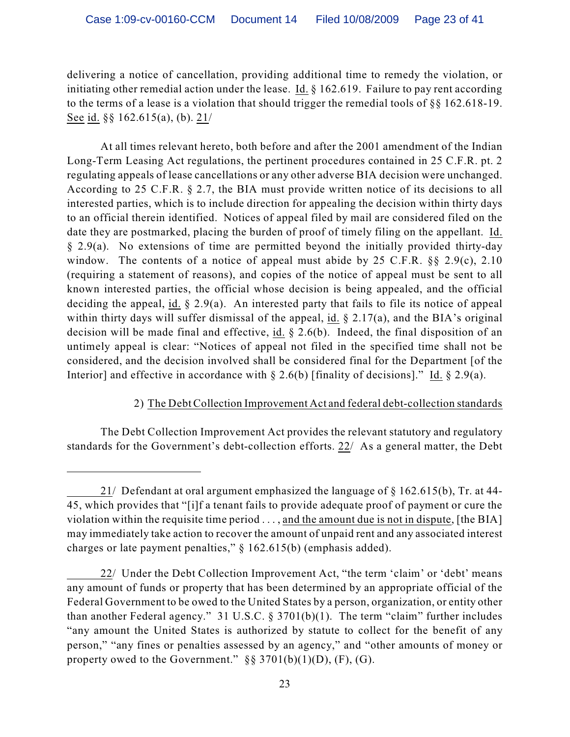delivering a notice of cancellation, providing additional time to remedy the violation, or initiating other remedial action under the lease. Id. § 162.619. Failure to pay rent according to the terms of a lease is a violation that should trigger the remedial tools of §§ 162.618-19. See id. §§ 162.615(a), (b). 21/

At all times relevant hereto, both before and after the 2001 amendment of the Indian Long-Term Leasing Act regulations, the pertinent procedures contained in 25 C.F.R. pt. 2 regulating appeals of lease cancellations or any other adverse BIA decision were unchanged. According to 25 C.F.R. § 2.7, the BIA must provide written notice of its decisions to all interested parties, which is to include direction for appealing the decision within thirty days to an official therein identified. Notices of appeal filed by mail are considered filed on the date they are postmarked, placing the burden of proof of timely filing on the appellant. Id. § 2.9(a). No extensions of time are permitted beyond the initially provided thirty-day window. The contents of a notice of appeal must abide by 25 C.F.R. §§ 2.9(c), 2.10 (requiring a statement of reasons), and copies of the notice of appeal must be sent to all known interested parties, the official whose decision is being appealed, and the official deciding the appeal, id.  $\S 2.9(a)$ . An interested party that fails to file its notice of appeal within thirty days will suffer dismissal of the appeal, id. § 2.17(a), and the BIA's original decision will be made final and effective, id. § 2.6(b). Indeed, the final disposition of an untimely appeal is clear: "Notices of appeal not filed in the specified time shall not be considered, and the decision involved shall be considered final for the Department [of the Interior] and effective in accordance with  $\S 2.6(b)$  [finality of decisions]." Id.  $\S 2.9(a)$ .

# 2) The Debt Collection Improvement Act and federal debt-collection standards

The Debt Collection Improvement Act provides the relevant statutory and regulatory standards for the Government's debt-collection efforts. 22/ As a general matter, the Debt

<sup>21/</sup> Defendant at oral argument emphasized the language of § 162.615(b), Tr. at 44- 45, which provides that "[i]f a tenant fails to provide adequate proof of payment or cure the violation within the requisite time period . . . , and the amount due is not in dispute, [the BIA] may immediately take action to recover the amount of unpaid rent and any associated interest charges or late payment penalties," § 162.615(b) (emphasis added).

<sup>22/</sup> Under the Debt Collection Improvement Act, "the term 'claim' or 'debt' means any amount of funds or property that has been determined by an appropriate official of the Federal Government to be owed to the United States by a person, organization, or entity other than another Federal agency." 31 U.S.C.  $\S$  3701(b)(1). The term "claim" further includes "any amount the United States is authorized by statute to collect for the benefit of any person," "any fines or penalties assessed by an agency," and "other amounts of money or property owed to the Government."  $\S$ § 3701(b)(1)(D), (F), (G).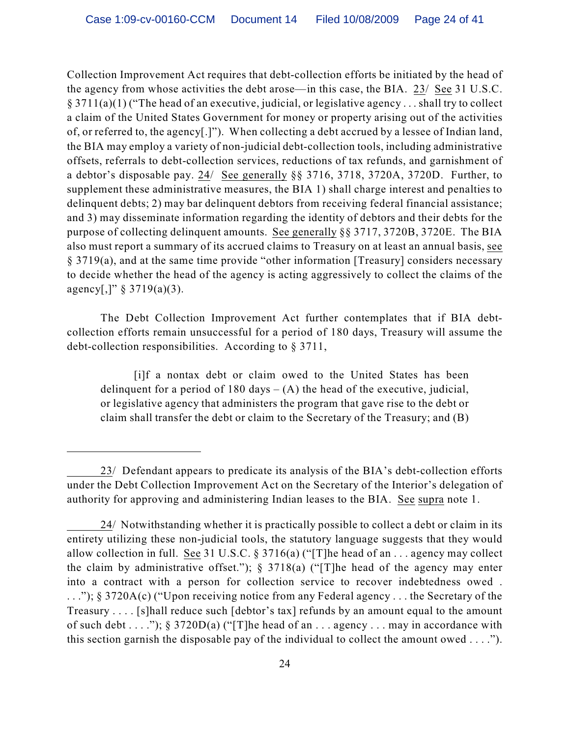Collection Improvement Act requires that debt-collection efforts be initiated by the head of the agency from whose activities the debt arose—in this case, the BIA. 23/ See 31 U.S.C. § 3711(a)(1) ("The head of an executive, judicial, or legislative agency . . . shall try to collect a claim of the United States Government for money or property arising out of the activities of, or referred to, the agency[.]"). When collecting a debt accrued by a lessee of Indian land, the BIA may employ a variety of non-judicial debt-collection tools, including administrative offsets, referrals to debt-collection services, reductions of tax refunds, and garnishment of a debtor's disposable pay. 24/ See generally §§ 3716, 3718, 3720A, 3720D. Further, to supplement these administrative measures, the BIA 1) shall charge interest and penalties to delinquent debts; 2) may bar delinquent debtors from receiving federal financial assistance; and 3) may disseminate information regarding the identity of debtors and their debts for the purpose of collecting delinquent amounts. See generally §§ 3717, 3720B, 3720E. The BIA also must report a summary of its accrued claims to Treasury on at least an annual basis, see § 3719(a), and at the same time provide "other information [Treasury] considers necessary to decide whether the head of the agency is acting aggressively to collect the claims of the agency[,]" § 3719(a)(3).

The Debt Collection Improvement Act further contemplates that if BIA debtcollection efforts remain unsuccessful for a period of 180 days, Treasury will assume the debt-collection responsibilities. According to § 3711,

[i]f a nontax debt or claim owed to the United States has been delinquent for a period of 180 days  $- (A)$  the head of the executive, judicial, or legislative agency that administers the program that gave rise to the debt or claim shall transfer the debt or claim to the Secretary of the Treasury; and (B)

<sup>23/</sup> Defendant appears to predicate its analysis of the BIA's debt-collection efforts under the Debt Collection Improvement Act on the Secretary of the Interior's delegation of authority for approving and administering Indian leases to the BIA. See supra note 1.

<sup>24/</sup> Notwithstanding whether it is practically possible to collect a debt or claim in its entirety utilizing these non-judicial tools, the statutory language suggests that they would allow collection in full. See 31 U.S.C. § 3716(a) ("[T]he head of an . . . agency may collect the claim by administrative offset.");  $\S$  3718(a) ("[T]he head of the agency may enter into a contract with a person for collection service to recover indebtedness owed . . . ."); § 3720A(c) ("Upon receiving notice from any Federal agency . . . the Secretary of the Treasury . . . . [s]hall reduce such [debtor's tax] refunds by an amount equal to the amount of such debt . . . ."); § 3720D(a) ("[T]he head of an . . . agency . . . may in accordance with this section garnish the disposable pay of the individual to collect the amount owed . . . .").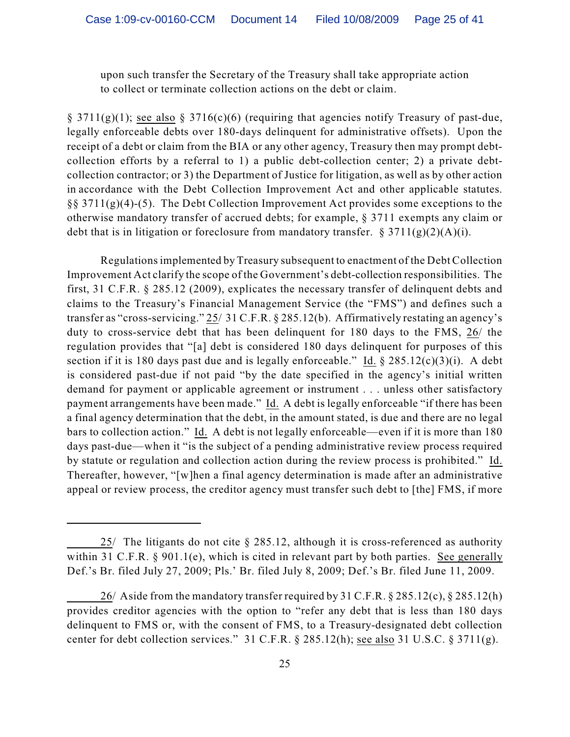upon such transfer the Secretary of the Treasury shall take appropriate action to collect or terminate collection actions on the debt or claim.

§ 3711(g)(1); see also § 3716(c)(6) (requiring that agencies notify Treasury of past-due, legally enforceable debts over 180-days delinquent for administrative offsets). Upon the receipt of a debt or claim from the BIA or any other agency, Treasury then may prompt debtcollection efforts by a referral to 1) a public debt-collection center; 2) a private debtcollection contractor; or 3) the Department of Justice for litigation, as well as by other action in accordance with the Debt Collection Improvement Act and other applicable statutes. §§ 3711(g)(4)-(5). The Debt Collection Improvement Act provides some exceptions to the otherwise mandatory transfer of accrued debts; for example, § 3711 exempts any claim or debt that is in litigation or foreclosure from mandatory transfer.  $\S 3711(g)(2)(A)(i)$ .

Regulations implemented by Treasury subsequent to enactment of the Debt Collection Improvement Act clarify the scope of the Government's debt-collection responsibilities. The first, 31 C.F.R. § 285.12 (2009), explicates the necessary transfer of delinquent debts and claims to the Treasury's Financial Management Service (the "FMS") and defines such a transfer as "cross-servicing." 25/ 31 C.F.R. § 285.12(b). Affirmatively restating an agency's duty to cross-service debt that has been delinquent for 180 days to the FMS, 26/ the regulation provides that "[a] debt is considered 180 days delinquent for purposes of this section if it is 180 days past due and is legally enforceable." Id.  $\S 285.12(c)(3)(i)$ . A debt is considered past-due if not paid "by the date specified in the agency's initial written demand for payment or applicable agreement or instrument . . . unless other satisfactory payment arrangements have been made." Id. A debt is legally enforceable "if there has been a final agency determination that the debt, in the amount stated, is due and there are no legal bars to collection action." Id. A debt is not legally enforceable—even if it is more than 180 days past-due—when it "is the subject of a pending administrative review process required by statute or regulation and collection action during the review process is prohibited." Id. Thereafter, however, "[w]hen a final agency determination is made after an administrative appeal or review process, the creditor agency must transfer such debt to [the] FMS, if more

<sup>25/</sup> The litigants do not cite § 285.12, although it is cross-referenced as authority within 31 C.F.R. § 901.1(e), which is cited in relevant part by both parties. See generally Def.'s Br. filed July 27, 2009; Pls.' Br. filed July 8, 2009; Def.'s Br. filed June 11, 2009.

<sup>26/</sup> Aside from the mandatory transfer required by 31 C.F.R. § 285.12(c), § 285.12(h) provides creditor agencies with the option to "refer any debt that is less than 180 days delinquent to FMS or, with the consent of FMS, to a Treasury-designated debt collection center for debt collection services." 31 C.F.R. § 285.12(h); see also 31 U.S.C. § 3711(g).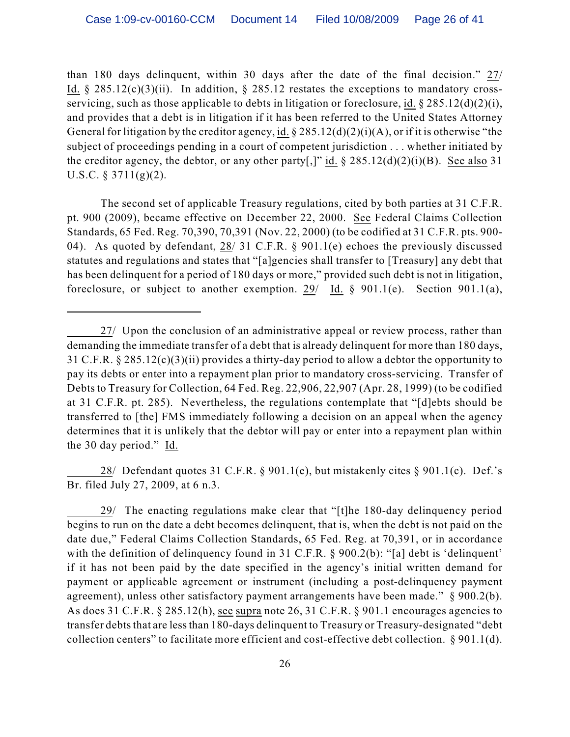than 180 days delinquent, within 30 days after the date of the final decision." 27/ Id.  $\S$  285.12(c)(3)(ii). In addition,  $\S$  285.12 restates the exceptions to mandatory crossservicing, such as those applicable to debts in litigation or foreclosure, id. § 285.12(d)(2)(i), and provides that a debt is in litigation if it has been referred to the United States Attorney General for litigation by the creditor agency, id.  $\S 285.12(d)(2)(i)(A)$ , or if it is otherwise "the subject of proceedings pending in a court of competent jurisdiction . . . whether initiated by the creditor agency, the debtor, or any other party[,]" id.  $\S 285.12(d)(2)(i)(B)$ . See also 31 U.S.C. § 3711(g)(2).

The second set of applicable Treasury regulations, cited by both parties at 31 C.F.R. pt. 900 (2009), became effective on December 22, 2000. See Federal Claims Collection Standards, 65 Fed. Reg. 70,390, 70,391 (Nov. 22, 2000) (to be codified at 31 C.F.R. pts. 900- 04). As quoted by defendant, 28/ 31 C.F.R. § 901.1(e) echoes the previously discussed statutes and regulations and states that "[a]gencies shall transfer to [Treasury] any debt that has been delinquent for a period of 180 days or more," provided such debt is not in litigation, foreclosure, or subject to another exemption. 29/ Id. § 901.1(e). Section 901.1(a),

28/ Defendant quotes 31 C.F.R. § 901.1(e), but mistakenly cites § 901.1(c). Def.'s Br. filed July 27, 2009, at 6 n.3.

29/ The enacting regulations make clear that "[t]he 180-day delinquency period begins to run on the date a debt becomes delinquent, that is, when the debt is not paid on the date due," Federal Claims Collection Standards, 65 Fed. Reg. at 70,391, or in accordance with the definition of delinquency found in 31 C.F.R. § 900.2(b): "[a] debt is 'delinquent' if it has not been paid by the date specified in the agency's initial written demand for payment or applicable agreement or instrument (including a post-delinquency payment agreement), unless other satisfactory payment arrangements have been made." § 900.2(b). As does 31 C.F.R. § 285.12(h), see supra note 26, 31 C.F.R. § 901.1 encourages agencies to transfer debts that are less than 180-days delinquent to Treasury or Treasury-designated "debt collection centers" to facilitate more efficient and cost-effective debt collection. § 901.1(d).

<sup>27/</sup> Upon the conclusion of an administrative appeal or review process, rather than demanding the immediate transfer of a debt that is already delinquent for more than 180 days, 31 C.F.R. § 285.12(c)(3)(ii) provides a thirty-day period to allow a debtor the opportunity to pay its debts or enter into a repayment plan prior to mandatory cross-servicing. Transfer of Debts to Treasury for Collection, 64 Fed. Reg. 22,906, 22,907 (Apr. 28, 1999) (to be codified at 31 C.F.R. pt. 285). Nevertheless, the regulations contemplate that "[d]ebts should be transferred to [the] FMS immediately following a decision on an appeal when the agency determines that it is unlikely that the debtor will pay or enter into a repayment plan within the 30 day period." Id.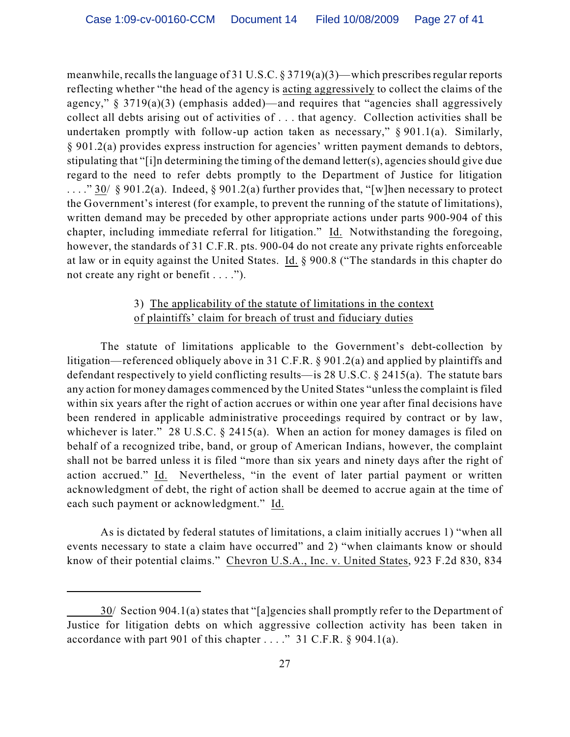meanwhile, recalls the language of 31 U.S.C. § 3719(a)(3)—which prescribes regular reports reflecting whether "the head of the agency is acting aggressively to collect the claims of the agency,"  $\S 3719(a)(3)$  (emphasis added)—and requires that "agencies shall aggressively collect all debts arising out of activities of . . . that agency. Collection activities shall be undertaken promptly with follow-up action taken as necessary," § 901.1(a). Similarly, § 901.2(a) provides express instruction for agencies' written payment demands to debtors, stipulating that "[i]n determining the timing of the demand letter(s), agencies should give due regard to the need to refer debts promptly to the Department of Justice for litigation ...." 30/ § 901.2(a). Indeed, § 901.2(a) further provides that, "[w]hen necessary to protect the Government's interest (for example, to prevent the running of the statute of limitations), written demand may be preceded by other appropriate actions under parts 900-904 of this chapter, including immediate referral for litigation." Id. Notwithstanding the foregoing, however, the standards of 31 C.F.R. pts. 900-04 do not create any private rights enforceable at law or in equity against the United States. Id. § 900.8 ("The standards in this chapter do not create any right or benefit . . . .").

# 3) The applicability of the statute of limitations in the context of plaintiffs' claim for breach of trust and fiduciary duties

The statute of limitations applicable to the Government's debt-collection by litigation—referenced obliquely above in 31 C.F.R. § 901.2(a) and applied by plaintiffs and defendant respectively to yield conflicting results—is 28 U.S.C. § 2415(a). The statute bars any action for money damages commenced by the United States "unlessthe complaint is filed within six years after the right of action accrues or within one year after final decisions have been rendered in applicable administrative proceedings required by contract or by law, whichever is later." 28 U.S.C.  $\S$  2415(a). When an action for money damages is filed on behalf of a recognized tribe, band, or group of American Indians, however, the complaint shall not be barred unless it is filed "more than six years and ninety days after the right of action accrued." Id. Nevertheless, "in the event of later partial payment or written acknowledgment of debt, the right of action shall be deemed to accrue again at the time of each such payment or acknowledgment." Id.

As is dictated by federal statutes of limitations, a claim initially accrues 1) "when all events necessary to state a claim have occurred" and 2) "when claimants know or should know of their potential claims." Chevron U.S.A., Inc. v. United States, 923 F.2d 830, 834

<sup>30/</sup> Section 904.1(a) states that "[a]gencies shall promptly refer to the Department of Justice for litigation debts on which aggressive collection activity has been taken in accordance with part 901 of this chapter . . . ." 31 C.F.R. § 904.1(a).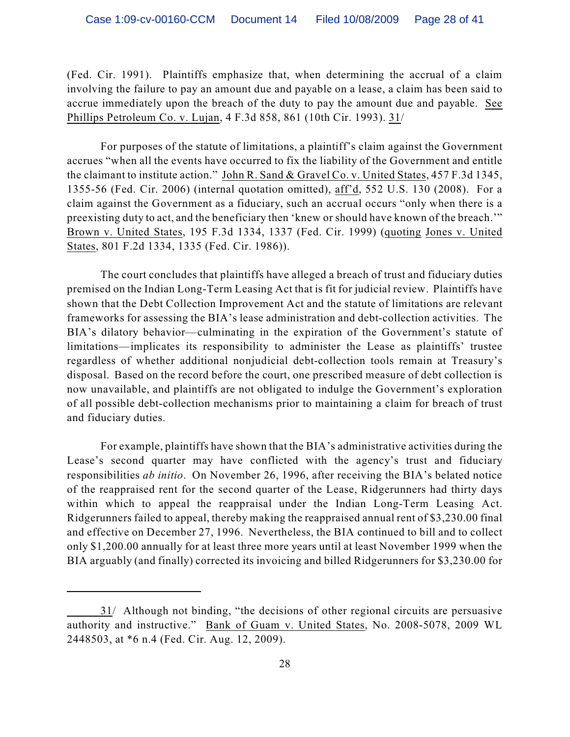(Fed. Cir. 1991). Plaintiffs emphasize that, when determining the accrual of a claim involving the failure to pay an amount due and payable on a lease, a claim has been said to accrue immediately upon the breach of the duty to pay the amount due and payable. See Phillips Petroleum Co. v. Lujan, 4 F.3d 858, 861 (10th Cir. 1993). 31/

For purposes of the statute of limitations, a plaintiff's claim against the Government accrues "when all the events have occurred to fix the liability of the Government and entitle the claimant to institute action." John R. Sand & Gravel Co. v. United States, 457 F.3d 1345, 1355-56 (Fed. Cir. 2006) (internal quotation omitted), aff'd, 552 U.S. 130 (2008). For a claim against the Government as a fiduciary, such an accrual occurs "only when there is a preexisting duty to act, and the beneficiary then 'knew or should have known of the breach.'" Brown v. United States, 195 F.3d 1334, 1337 (Fed. Cir. 1999) (quoting Jones v. United States, 801 F.2d 1334, 1335 (Fed. Cir. 1986)).

The court concludes that plaintiffs have alleged a breach of trust and fiduciary duties premised on the Indian Long-Term Leasing Act that is fit for judicial review. Plaintiffs have shown that the Debt Collection Improvement Act and the statute of limitations are relevant frameworks for assessing the BIA's lease administration and debt-collection activities. The BIA's dilatory behavior—culminating in the expiration of the Government's statute of limitations—implicates its responsibility to administer the Lease as plaintiffs' trustee regardless of whether additional nonjudicial debt-collection tools remain at Treasury's disposal. Based on the record before the court, one prescribed measure of debt collection is now unavailable, and plaintiffs are not obligated to indulge the Government's exploration of all possible debt-collection mechanisms prior to maintaining a claim for breach of trust and fiduciary duties.

For example, plaintiffs have shown that the BIA's administrative activities during the Lease's second quarter may have conflicted with the agency's trust and fiduciary responsibilities *ab initio*. On November 26, 1996, after receiving the BIA's belated notice of the reappraised rent for the second quarter of the Lease, Ridgerunners had thirty days within which to appeal the reappraisal under the Indian Long-Term Leasing Act. Ridgerunners failed to appeal, thereby making the reappraised annual rent of \$3,230.00 final and effective on December 27, 1996. Nevertheless, the BIA continued to bill and to collect only \$1,200.00 annually for at least three more years until at least November 1999 when the BIA arguably (and finally) corrected its invoicing and billed Ridgerunners for \$3,230.00 for

<sup>31/</sup> Although not binding, "the decisions of other regional circuits are persuasive authority and instructive." Bank of Guam v. United States, No. 2008-5078, 2009 WL 2448503, at \*6 n.4 (Fed. Cir. Aug. 12, 2009).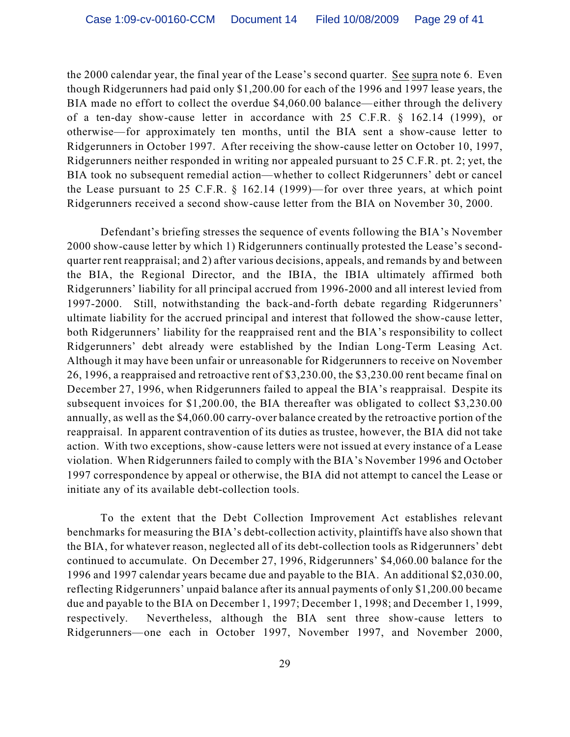the 2000 calendar year, the final year of the Lease's second quarter. See supra note 6. Even though Ridgerunners had paid only \$1,200.00 for each of the 1996 and 1997 lease years, the BIA made no effort to collect the overdue \$4,060.00 balance—either through the delivery of a ten-day show-cause letter in accordance with 25 C.F.R. § 162.14 (1999), or otherwise—for approximately ten months, until the BIA sent a show-cause letter to Ridgerunners in October 1997. After receiving the show-cause letter on October 10, 1997, Ridgerunners neither responded in writing nor appealed pursuant to 25 C.F.R. pt. 2; yet, the BIA took no subsequent remedial action—whether to collect Ridgerunners' debt or cancel the Lease pursuant to 25 C.F.R. § 162.14 (1999)—for over three years, at which point Ridgerunners received a second show-cause letter from the BIA on November 30, 2000.

Defendant's briefing stresses the sequence of events following the BIA's November 2000 show-cause letter by which 1) Ridgerunners continually protested the Lease's secondquarter rent reappraisal; and 2) after various decisions, appeals, and remands by and between the BIA, the Regional Director, and the IBIA, the IBIA ultimately affirmed both Ridgerunners' liability for all principal accrued from 1996-2000 and all interest levied from 1997-2000. Still, notwithstanding the back-and-forth debate regarding Ridgerunners' ultimate liability for the accrued principal and interest that followed the show-cause letter, both Ridgerunners' liability for the reappraised rent and the BIA's responsibility to collect Ridgerunners' debt already were established by the Indian Long-Term Leasing Act. Although it may have been unfair or unreasonable for Ridgerunners to receive on November 26, 1996, a reappraised and retroactive rent of \$3,230.00, the \$3,230.00 rent became final on December 27, 1996, when Ridgerunners failed to appeal the BIA's reappraisal. Despite its subsequent invoices for \$1,200.00, the BIA thereafter was obligated to collect \$3,230.00 annually, as well as the \$4,060.00 carry-over balance created by the retroactive portion of the reappraisal. In apparent contravention of its duties as trustee, however, the BIA did not take action. With two exceptions, show-cause letters were not issued at every instance of a Lease violation. When Ridgerunners failed to comply with the BIA's November 1996 and October 1997 correspondence by appeal or otherwise, the BIA did not attempt to cancel the Lease or initiate any of its available debt-collection tools.

To the extent that the Debt Collection Improvement Act establishes relevant benchmarks for measuring the BIA's debt-collection activity, plaintiffs have also shown that the BIA, for whatever reason, neglected all of its debt-collection tools as Ridgerunners' debt continued to accumulate. On December 27, 1996, Ridgerunners' \$4,060.00 balance for the 1996 and 1997 calendar years became due and payable to the BIA. An additional \$2,030.00, reflecting Ridgerunners' unpaid balance after its annual payments of only \$1,200.00 became due and payable to the BIA on December 1, 1997; December 1, 1998; and December 1, 1999, respectively. Nevertheless, although the BIA sent three show-cause letters to Ridgerunners—one each in October 1997, November 1997, and November 2000,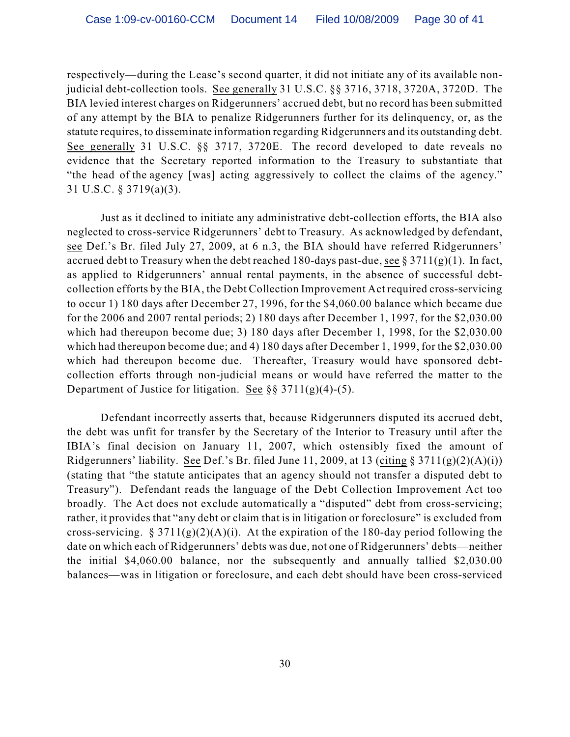respectively—during the Lease's second quarter, it did not initiate any of its available nonjudicial debt-collection tools. See generally 31 U.S.C. §§ 3716, 3718, 3720A, 3720D. The BIA levied interest charges on Ridgerunners' accrued debt, but no record has been submitted of any attempt by the BIA to penalize Ridgerunners further for its delinquency, or, as the statute requires, to disseminate information regarding Ridgerunners and its outstanding debt. See generally 31 U.S.C. §§ 3717, 3720E. The record developed to date reveals no evidence that the Secretary reported information to the Treasury to substantiate that "the head of the agency [was] acting aggressively to collect the claims of the agency." 31 U.S.C. § 3719(a)(3).

Just as it declined to initiate any administrative debt-collection efforts, the BIA also neglected to cross-service Ridgerunners' debt to Treasury. As acknowledged by defendant, see Def.'s Br. filed July 27, 2009, at 6 n.3, the BIA should have referred Ridgerunners' accrued debt to Treasury when the debt reached 180-days past-due, see § 3711(g)(1). In fact, as applied to Ridgerunners' annual rental payments, in the absence of successful debtcollection efforts by the BIA, the Debt Collection Improvement Act required cross-servicing to occur 1) 180 days after December 27, 1996, for the \$4,060.00 balance which became due for the 2006 and 2007 rental periods; 2) 180 days after December 1, 1997, for the \$2,030.00 which had thereupon become due; 3) 180 days after December 1, 1998, for the \$2,030.00 which had thereupon become due; and 4) 180 days after December 1, 1999, for the \$2,030.00 which had thereupon become due. Thereafter, Treasury would have sponsored debtcollection efforts through non-judicial means or would have referred the matter to the Department of Justice for litigation. See  $\S$ § 3711(g)(4)-(5).

Defendant incorrectly asserts that, because Ridgerunners disputed its accrued debt, the debt was unfit for transfer by the Secretary of the Interior to Treasury until after the IBIA's final decision on January 11, 2007, which ostensibly fixed the amount of Ridgerunners' liability. See Def.'s Br. filed June 11, 2009, at 13 (citing  $\S 3711(g)(2)(A)(i)$ ) (stating that "the statute anticipates that an agency should not transfer a disputed debt to Treasury"). Defendant reads the language of the Debt Collection Improvement Act too broadly. The Act does not exclude automatically a "disputed" debt from cross-servicing; rather, it provides that "any debt or claim that is in litigation or foreclosure" is excluded from cross-servicing. § 3711(g)(2)(A)(i). At the expiration of the 180-day period following the date on which each of Ridgerunners' debts was due, not one of Ridgerunners' debts—neither the initial \$4,060.00 balance, nor the subsequently and annually tallied \$2,030.00 balances—was in litigation or foreclosure, and each debt should have been cross-serviced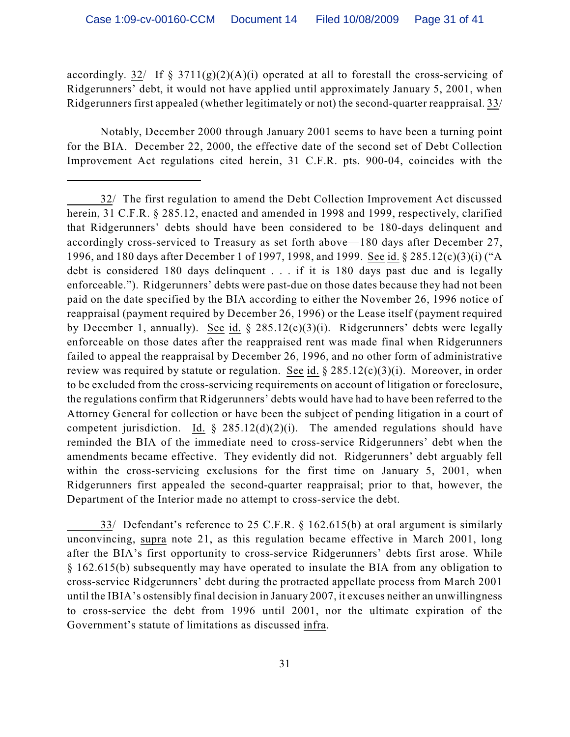accordingly. 32/ If  $\S 3711(g)(2)(A)(i)$  operated at all to forestall the cross-servicing of Ridgerunners' debt, it would not have applied until approximately January 5, 2001, when Ridgerunners first appealed (whether legitimately or not) the second-quarter reappraisal. 33/

Notably, December 2000 through January 2001 seems to have been a turning point for the BIA. December 22, 2000, the effective date of the second set of Debt Collection Improvement Act regulations cited herein, 31 C.F.R. pts. 900-04, coincides with the

33/ Defendant's reference to 25 C.F.R. § 162.615(b) at oral argument is similarly unconvincing, supra note 21, as this regulation became effective in March 2001, long after the BIA's first opportunity to cross-service Ridgerunners' debts first arose. While § 162.615(b) subsequently may have operated to insulate the BIA from any obligation to cross-service Ridgerunners' debt during the protracted appellate process from March 2001 until the IBIA's ostensibly final decision in January 2007, it excuses neither an unwillingness to cross-service the debt from 1996 until 2001, nor the ultimate expiration of the Government's statute of limitations as discussed infra.

<sup>32/</sup> The first regulation to amend the Debt Collection Improvement Act discussed herein, 31 C.F.R. § 285.12, enacted and amended in 1998 and 1999, respectively, clarified that Ridgerunners' debts should have been considered to be 180-days delinquent and accordingly cross-serviced to Treasury as set forth above—180 days after December 27, 1996, and 180 days after December 1 of 1997, 1998, and 1999. See id. § 285.12(c)(3)(i) ("A debt is considered 180 days delinquent . . . if it is 180 days past due and is legally enforceable."). Ridgerunners' debts were past-due on those dates because they had not been paid on the date specified by the BIA according to either the November 26, 1996 notice of reappraisal (payment required by December 26, 1996) or the Lease itself (payment required by December 1, annually). See id. § 285.12(c)(3)(i). Ridgerunners' debts were legally enforceable on those dates after the reappraised rent was made final when Ridgerunners failed to appeal the reappraisal by December 26, 1996, and no other form of administrative review was required by statute or regulation. See id. § 285.12(c)(3)(i). Moreover, in order to be excluded from the cross-servicing requirements on account of litigation or foreclosure, the regulations confirm that Ridgerunners' debts would have had to have been referred to the Attorney General for collection or have been the subject of pending litigation in a court of competent jurisdiction. Id.  $\S$  285.12(d)(2)(i). The amended regulations should have reminded the BIA of the immediate need to cross-service Ridgerunners' debt when the amendments became effective. They evidently did not. Ridgerunners' debt arguably fell within the cross-servicing exclusions for the first time on January 5, 2001, when Ridgerunners first appealed the second-quarter reappraisal; prior to that, however, the Department of the Interior made no attempt to cross-service the debt.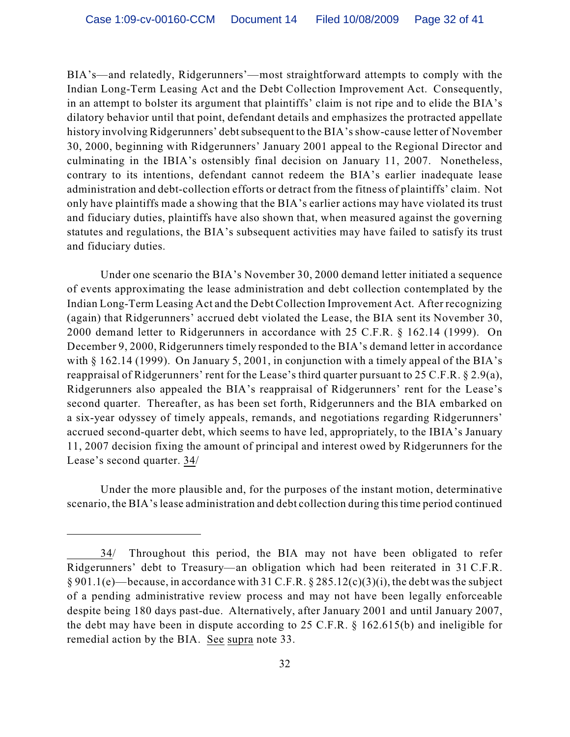BIA's—and relatedly, Ridgerunners'—most straightforward attempts to comply with the Indian Long-Term Leasing Act and the Debt Collection Improvement Act. Consequently, in an attempt to bolster its argument that plaintiffs' claim is not ripe and to elide the BIA's dilatory behavior until that point, defendant details and emphasizes the protracted appellate history involving Ridgerunners' debt subsequent to the BIA's show-cause letter of November 30, 2000, beginning with Ridgerunners' January 2001 appeal to the Regional Director and culminating in the IBIA's ostensibly final decision on January 11, 2007. Nonetheless, contrary to its intentions, defendant cannot redeem the BIA's earlier inadequate lease administration and debt-collection efforts or detract from the fitness of plaintiffs' claim. Not only have plaintiffs made a showing that the BIA's earlier actions may have violated its trust and fiduciary duties, plaintiffs have also shown that, when measured against the governing statutes and regulations, the BIA's subsequent activities may have failed to satisfy its trust and fiduciary duties.

Under one scenario the BIA's November 30, 2000 demand letter initiated a sequence of events approximating the lease administration and debt collection contemplated by the Indian Long-Term Leasing Act and the Debt Collection Improvement Act. After recognizing (again) that Ridgerunners' accrued debt violated the Lease, the BIA sent its November 30, 2000 demand letter to Ridgerunners in accordance with 25 C.F.R. § 162.14 (1999). On December 9, 2000, Ridgerunners timely responded to the BIA's demand letter in accordance with § 162.14 (1999). On January 5, 2001, in conjunction with a timely appeal of the BIA's reappraisal of Ridgerunners' rent for the Lease's third quarter pursuant to 25 C.F.R. § 2.9(a), Ridgerunners also appealed the BIA's reappraisal of Ridgerunners' rent for the Lease's second quarter. Thereafter, as has been set forth, Ridgerunners and the BIA embarked on a six-year odyssey of timely appeals, remands, and negotiations regarding Ridgerunners' accrued second-quarter debt, which seems to have led, appropriately, to the IBIA's January 11, 2007 decision fixing the amount of principal and interest owed by Ridgerunners for the Lease's second quarter. 34/

Under the more plausible and, for the purposes of the instant motion, determinative scenario, the BIA's lease administration and debt collection during this time period continued

<sup>34/</sup> Throughout this period, the BIA may not have been obligated to refer Ridgerunners' debt to Treasury—an obligation which had been reiterated in 31 C.F.R. § 901.1(e)—because, in accordance with 31 C.F.R. § 285.12(c)(3)(i), the debt was the subject of a pending administrative review process and may not have been legally enforceable despite being 180 days past-due. Alternatively, after January 2001 and until January 2007, the debt may have been in dispute according to 25 C.F.R. § 162.615(b) and ineligible for remedial action by the BIA. See supra note 33.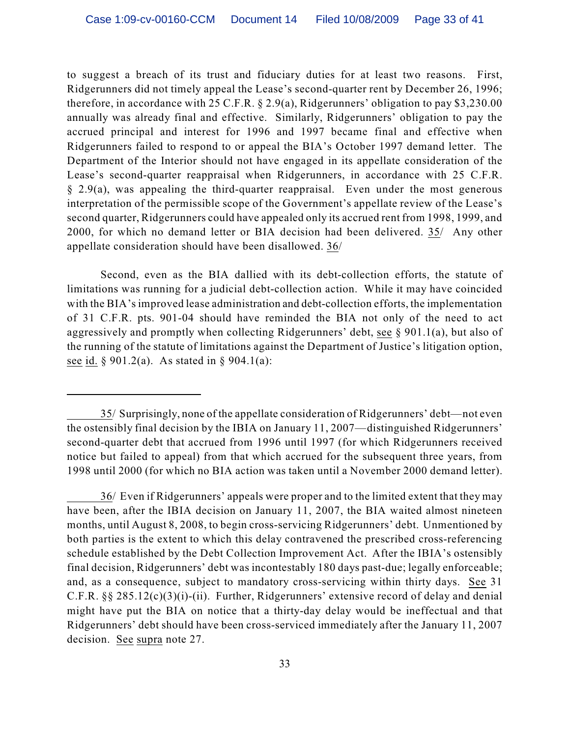to suggest a breach of its trust and fiduciary duties for at least two reasons. First, Ridgerunners did not timely appeal the Lease's second-quarter rent by December 26, 1996; therefore, in accordance with 25 C.F.R. § 2.9(a), Ridgerunners' obligation to pay \$3,230.00 annually was already final and effective. Similarly, Ridgerunners' obligation to pay the accrued principal and interest for 1996 and 1997 became final and effective when Ridgerunners failed to respond to or appeal the BIA's October 1997 demand letter. The Department of the Interior should not have engaged in its appellate consideration of the Lease's second-quarter reappraisal when Ridgerunners, in accordance with 25 C.F.R.  $§$  2.9(a), was appealing the third-quarter reappraisal. Even under the most generous interpretation of the permissible scope of the Government's appellate review of the Lease's second quarter, Ridgerunners could have appealed only its accrued rent from 1998, 1999, and 2000, for which no demand letter or BIA decision had been delivered. 35/ Any other appellate consideration should have been disallowed. 36/

Second, even as the BIA dallied with its debt-collection efforts, the statute of limitations was running for a judicial debt-collection action. While it may have coincided with the BIA's improved lease administration and debt-collection efforts, the implementation of 31 C.F.R. pts. 901-04 should have reminded the BIA not only of the need to act aggressively and promptly when collecting Ridgerunners' debt, see § 901.1(a), but also of the running of the statute of limitations against the Department of Justice's litigation option, see id. § 901.2(a). As stated in § 904.1(a):

<sup>35/</sup> Surprisingly, none of the appellate consideration of Ridgerunners' debt—not even the ostensibly final decision by the IBIA on January 11, 2007—distinguished Ridgerunners' second-quarter debt that accrued from 1996 until 1997 (for which Ridgerunners received notice but failed to appeal) from that which accrued for the subsequent three years, from 1998 until 2000 (for which no BIA action was taken until a November 2000 demand letter).

<sup>36/</sup> Even if Ridgerunners' appeals were proper and to the limited extent that they may have been, after the IBIA decision on January 11, 2007, the BIA waited almost nineteen months, until August 8, 2008, to begin cross-servicing Ridgerunners' debt. Unmentioned by both parties is the extent to which this delay contravened the prescribed cross-referencing schedule established by the Debt Collection Improvement Act. After the IBIA's ostensibly final decision, Ridgerunners' debt was incontestably 180 days past-due; legally enforceable; and, as a consequence, subject to mandatory cross-servicing within thirty days. See 31 C.F.R. §§ 285.12(c)(3)(i)-(ii). Further, Ridgerunners' extensive record of delay and denial might have put the BIA on notice that a thirty-day delay would be ineffectual and that Ridgerunners' debt should have been cross-serviced immediately after the January 11, 2007 decision. See supra note 27.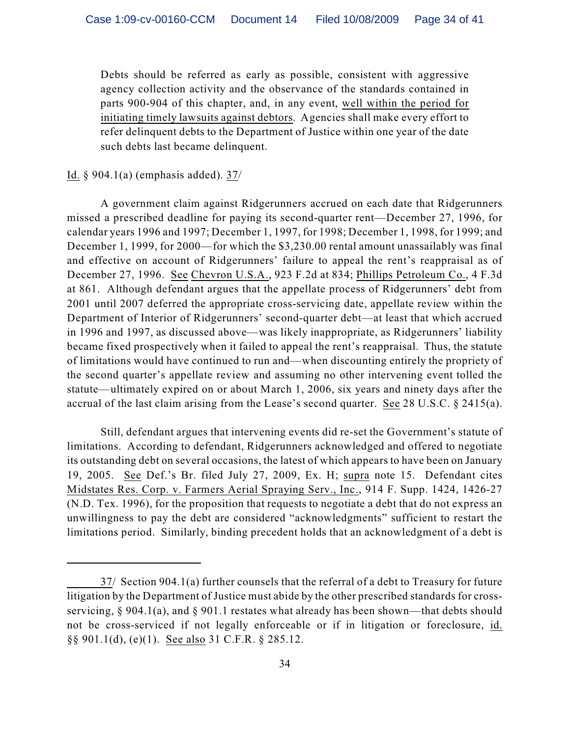Debts should be referred as early as possible, consistent with aggressive agency collection activity and the observance of the standards contained in parts 900-904 of this chapter, and, in any event, well within the period for initiating timely lawsuits against debtors. Agencies shall make every effort to refer delinquent debts to the Department of Justice within one year of the date such debts last became delinquent.

Id. § 904.1(a) (emphasis added). 37/

A government claim against Ridgerunners accrued on each date that Ridgerunners missed a prescribed deadline for paying its second-quarter rent—December 27, 1996, for calendar years 1996 and 1997; December 1, 1997, for 1998; December 1, 1998, for 1999; and December 1, 1999, for 2000—for which the \$3,230.00 rental amount unassailably was final and effective on account of Ridgerunners' failure to appeal the rent's reappraisal as of December 27, 1996. See Chevron U.S.A., 923 F.2d at 834; Phillips Petroleum Co., 4 F.3d at 861. Although defendant argues that the appellate process of Ridgerunners' debt from 2001 until 2007 deferred the appropriate cross-servicing date, appellate review within the Department of Interior of Ridgerunners' second-quarter debt—at least that which accrued in 1996 and 1997, as discussed above—was likely inappropriate, as Ridgerunners' liability became fixed prospectively when it failed to appeal the rent's reappraisal. Thus, the statute of limitations would have continued to run and—when discounting entirely the propriety of the second quarter's appellate review and assuming no other intervening event tolled the statute—ultimately expired on or about March 1, 2006, six years and ninety days after the accrual of the last claim arising from the Lease's second quarter. See 28 U.S.C. § 2415(a).

Still, defendant argues that intervening events did re-set the Government's statute of limitations. According to defendant, Ridgerunners acknowledged and offered to negotiate its outstanding debt on several occasions, the latest of which appears to have been on January 19, 2005. See Def.'s Br. filed July 27, 2009, Ex. H; supra note 15. Defendant cites Midstates Res. Corp. v. Farmers Aerial Spraying Serv., Inc., 914 F. Supp. 1424, 1426-27 (N.D. Tex. 1996), for the proposition that requests to negotiate a debt that do not express an unwillingness to pay the debt are considered "acknowledgments" sufficient to restart the limitations period. Similarly, binding precedent holds that an acknowledgment of a debt is

<sup>37/</sup> Section 904.1(a) further counsels that the referral of a debt to Treasury for future litigation by the Department of Justice must abide by the other prescribed standards for crossservicing, § 904.1(a), and § 901.1 restates what already has been shown—that debts should not be cross-serviced if not legally enforceable or if in litigation or foreclosure, id. §§ 901.1(d), (e)(1). See also 31 C.F.R. § 285.12.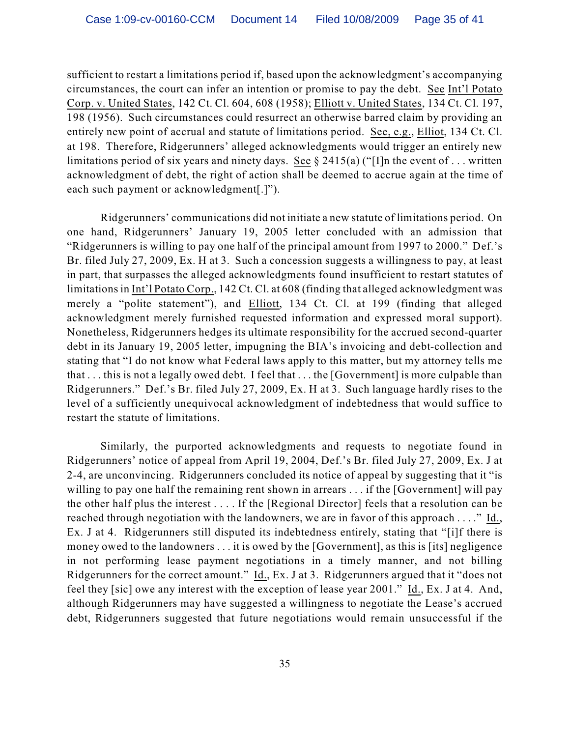sufficient to restart a limitations period if, based upon the acknowledgment's accompanying circumstances, the court can infer an intention or promise to pay the debt. See Int'l Potato Corp. v. United States, 142 Ct. Cl. 604, 608 (1958); Elliott v. United States, 134 Ct. Cl. 197, 198 (1956). Such circumstances could resurrect an otherwise barred claim by providing an entirely new point of accrual and statute of limitations period. See, e.g., Elliot, 134 Ct. Cl. at 198. Therefore, Ridgerunners' alleged acknowledgments would trigger an entirely new limitations period of six years and ninety days. See  $\S 2415(a)$  ("[I]n the event of ... written acknowledgment of debt, the right of action shall be deemed to accrue again at the time of each such payment or acknowledgment[.]").

Ridgerunners' communications did not initiate a new statute of limitations period. On one hand, Ridgerunners' January 19, 2005 letter concluded with an admission that "Ridgerunners is willing to pay one half of the principal amount from 1997 to 2000." Def.'s Br. filed July 27, 2009, Ex. H at 3. Such a concession suggests a willingness to pay, at least in part, that surpasses the alleged acknowledgments found insufficient to restart statutes of limitations in Int'l Potato Corp., 142 Ct. Cl. at 608 (finding that alleged acknowledgment was merely a "polite statement"), and Elliott, 134 Ct. Cl. at 199 (finding that alleged acknowledgment merely furnished requested information and expressed moral support). Nonetheless, Ridgerunners hedges its ultimate responsibility for the accrued second-quarter debt in its January 19, 2005 letter, impugning the BIA's invoicing and debt-collection and stating that "I do not know what Federal laws apply to this matter, but my attorney tells me that . . . this is not a legally owed debt. I feel that . . . the [Government] is more culpable than Ridgerunners." Def.'s Br. filed July 27, 2009, Ex. H at 3. Such language hardly rises to the level of a sufficiently unequivocal acknowledgment of indebtedness that would suffice to restart the statute of limitations.

Similarly, the purported acknowledgments and requests to negotiate found in Ridgerunners' notice of appeal from April 19, 2004, Def.'s Br. filed July 27, 2009, Ex. J at 2-4, are unconvincing. Ridgerunners concluded its notice of appeal by suggesting that it "is willing to pay one half the remaining rent shown in arrears . . . if the [Government] will pay the other half plus the interest . . . . If the [Regional Director] feels that a resolution can be reached through negotiation with the landowners, we are in favor of this approach . . . ." Id., Ex. J at 4. Ridgerunners still disputed its indebtedness entirely, stating that "[i]f there is money owed to the landowners . . . it is owed by the [Government], as this is [its] negligence in not performing lease payment negotiations in a timely manner, and not billing Ridgerunners for the correct amount." Id., Ex. J at 3. Ridgerunners argued that it "does not feel they [sic] owe any interest with the exception of lease year 2001." Id., Ex. J at 4. And, although Ridgerunners may have suggested a willingness to negotiate the Lease's accrued debt, Ridgerunners suggested that future negotiations would remain unsuccessful if the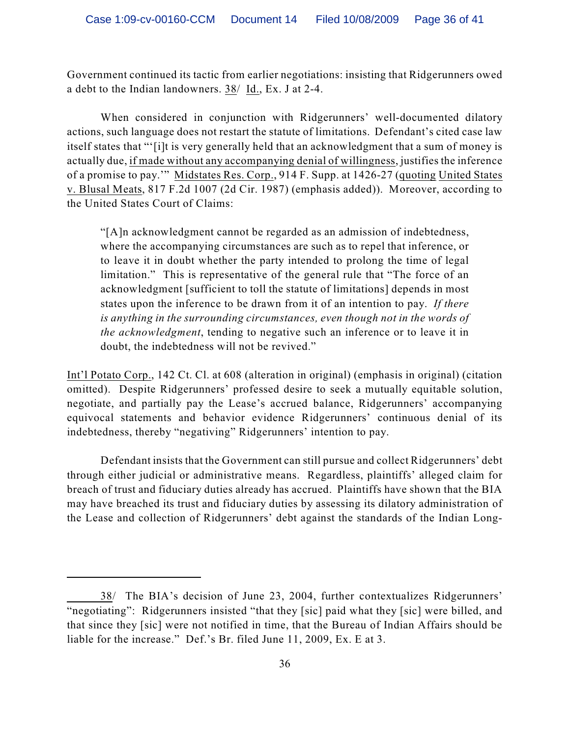Government continued its tactic from earlier negotiations: insisting that Ridgerunners owed a debt to the Indian landowners. 38/ Id., Ex. J at 2-4.

When considered in conjunction with Ridgerunners' well-documented dilatory actions, such language does not restart the statute of limitations. Defendant's cited case law itself states that "'[i]t is very generally held that an acknowledgment that a sum of money is actually due, if made without any accompanying denial of willingness, justifies the inference of a promise to pay.'" Midstates Res. Corp., 914 F. Supp. at 1426-27 (quoting United States v. Blusal Meats, 817 F.2d 1007 (2d Cir. 1987) (emphasis added)). Moreover, according to the United States Court of Claims:

"[A]n acknowledgment cannot be regarded as an admission of indebtedness, where the accompanying circumstances are such as to repel that inference, or to leave it in doubt whether the party intended to prolong the time of legal limitation." This is representative of the general rule that "The force of an acknowledgment [sufficient to toll the statute of limitations] depends in most states upon the inference to be drawn from it of an intention to pay. *If there is anything in the surrounding circumstances, even though not in the words of the acknowledgment*, tending to negative such an inference or to leave it in doubt, the indebtedness will not be revived."

Int'l Potato Corp., 142 Ct. Cl. at 608 (alteration in original) (emphasis in original) (citation omitted). Despite Ridgerunners' professed desire to seek a mutually equitable solution, negotiate, and partially pay the Lease's accrued balance, Ridgerunners' accompanying equivocal statements and behavior evidence Ridgerunners' continuous denial of its indebtedness, thereby "negativing" Ridgerunners' intention to pay.

Defendant insists that the Government can still pursue and collect Ridgerunners' debt through either judicial or administrative means. Regardless, plaintiffs' alleged claim for breach of trust and fiduciary duties already has accrued. Plaintiffs have shown that the BIA may have breached its trust and fiduciary duties by assessing its dilatory administration of the Lease and collection of Ridgerunners' debt against the standards of the Indian Long-

<sup>38/</sup> The BIA's decision of June 23, 2004, further contextualizes Ridgerunners' "negotiating": Ridgerunners insisted "that they [sic] paid what they [sic] were billed, and that since they [sic] were not notified in time, that the Bureau of Indian Affairs should be liable for the increase." Def.'s Br. filed June 11, 2009, Ex. E at 3.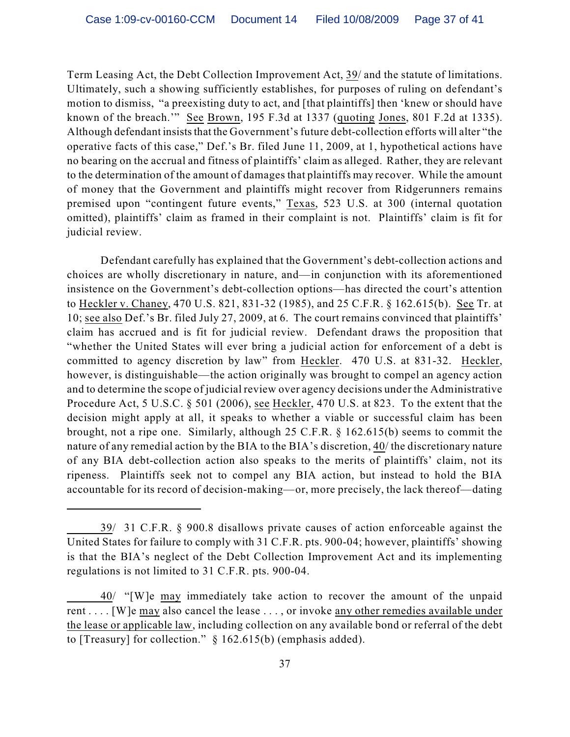Term Leasing Act, the Debt Collection Improvement Act, 39/ and the statute of limitations. Ultimately, such a showing sufficiently establishes, for purposes of ruling on defendant's motion to dismiss, "a preexisting duty to act, and [that plaintiffs] then 'knew or should have known of the breach.'" See Brown, 195 F.3d at 1337 (quoting Jones, 801 F.2d at 1335). Although defendant insists that the Government's future debt-collection efforts will alter "the operative facts of this case," Def.'s Br. filed June 11, 2009, at 1, hypothetical actions have no bearing on the accrual and fitness of plaintiffs' claim as alleged. Rather, they are relevant to the determination of the amount of damages that plaintiffs may recover. While the amount of money that the Government and plaintiffs might recover from Ridgerunners remains premised upon "contingent future events," Texas, 523 U.S. at 300 (internal quotation omitted), plaintiffs' claim as framed in their complaint is not. Plaintiffs' claim is fit for judicial review.

Defendant carefully has explained that the Government's debt-collection actions and choices are wholly discretionary in nature, and—in conjunction with its aforementioned insistence on the Government's debt-collection options—has directed the court's attention to Heckler v. Chaney, 470 U.S. 821, 831-32 (1985), and 25 C.F.R. § 162.615(b). See Tr. at 10; see also Def.'s Br. filed July 27, 2009, at 6. The court remains convinced that plaintiffs' claim has accrued and is fit for judicial review. Defendant draws the proposition that "whether the United States will ever bring a judicial action for enforcement of a debt is committed to agency discretion by law" from Heckler. 470 U.S. at 831-32. Heckler, however, is distinguishable—the action originally was brought to compel an agency action and to determine the scope of judicial review over agency decisions under the Administrative Procedure Act, 5 U.S.C. § 501 (2006), see Heckler, 470 U.S. at 823. To the extent that the decision might apply at all, it speaks to whether a viable or successful claim has been brought, not a ripe one. Similarly, although 25 C.F.R. § 162.615(b) seems to commit the nature of any remedial action by the BIA to the BIA's discretion, 40/ the discretionary nature of any BIA debt-collection action also speaks to the merits of plaintiffs' claim, not its ripeness. Plaintiffs seek not to compel any BIA action, but instead to hold the BIA accountable for its record of decision-making—or, more precisely, the lack thereof—dating

<sup>39/ 31</sup> C.F.R. § 900.8 disallows private causes of action enforceable against the United States for failure to comply with 31 C.F.R. pts. 900-04; however, plaintiffs' showing is that the BIA's neglect of the Debt Collection Improvement Act and its implementing regulations is not limited to 31 C.F.R. pts. 900-04.

<sup>40/ &</sup>quot;[W]e may immediately take action to recover the amount of the unpaid rent . . . . [W]e may also cancel the lease . . . , or invoke any other remedies available under the lease or applicable law, including collection on any available bond or referral of the debt to [Treasury] for collection." § 162.615(b) (emphasis added).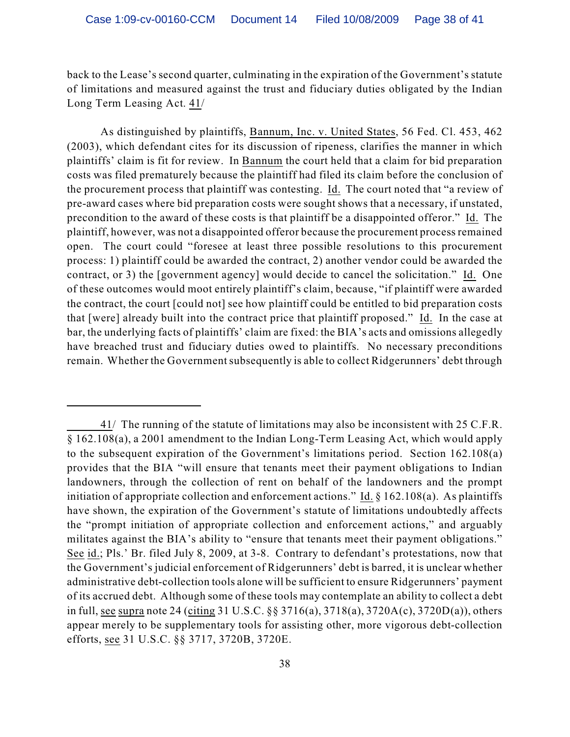back to the Lease's second quarter, culminating in the expiration of the Government's statute of limitations and measured against the trust and fiduciary duties obligated by the Indian Long Term Leasing Act. 41/

As distinguished by plaintiffs, Bannum, Inc. v. United States, 56 Fed. Cl. 453, 462 (2003), which defendant cites for its discussion of ripeness, clarifies the manner in which plaintiffs' claim is fit for review. In Bannum the court held that a claim for bid preparation costs was filed prematurely because the plaintiff had filed its claim before the conclusion of the procurement process that plaintiff was contesting. Id. The court noted that "a review of pre-award cases where bid preparation costs were sought shows that a necessary, if unstated, precondition to the award of these costs is that plaintiff be a disappointed offeror." Id. The plaintiff, however, was not a disappointed offeror because the procurement process remained open. The court could "foresee at least three possible resolutions to this procurement process: 1) plaintiff could be awarded the contract, 2) another vendor could be awarded the contract, or 3) the [government agency] would decide to cancel the solicitation." Id. One of these outcomes would moot entirely plaintiff's claim, because, "if plaintiff were awarded the contract, the court [could not] see how plaintiff could be entitled to bid preparation costs that [were] already built into the contract price that plaintiff proposed." Id. In the case at bar, the underlying facts of plaintiffs' claim are fixed: the BIA's acts and omissions allegedly have breached trust and fiduciary duties owed to plaintiffs. No necessary preconditions remain. Whether the Government subsequently is able to collect Ridgerunners' debt through

<sup>41/</sup> The running of the statute of limitations may also be inconsistent with 25 C.F.R. § 162.108(a), a 2001 amendment to the Indian Long-Term Leasing Act, which would apply to the subsequent expiration of the Government's limitations period. Section 162.108(a) provides that the BIA "will ensure that tenants meet their payment obligations to Indian landowners, through the collection of rent on behalf of the landowners and the prompt initiation of appropriate collection and enforcement actions." Id.  $\S 162.108(a)$ . As plaintiffs have shown, the expiration of the Government's statute of limitations undoubtedly affects the "prompt initiation of appropriate collection and enforcement actions," and arguably militates against the BIA's ability to "ensure that tenants meet their payment obligations." See id.; Pls.' Br. filed July 8, 2009, at 3-8. Contrary to defendant's protestations, now that the Government's judicial enforcement of Ridgerunners' debt is barred, it is unclear whether administrative debt-collection tools alone will be sufficient to ensure Ridgerunners' payment of its accrued debt. Although some of these tools may contemplate an ability to collect a debt in full, see supra note 24 (citing 31 U.S.C. §§ 3716(a), 3718(a), 3720A(c), 3720D(a)), others appear merely to be supplementary tools for assisting other, more vigorous debt-collection efforts, see 31 U.S.C. §§ 3717, 3720B, 3720E.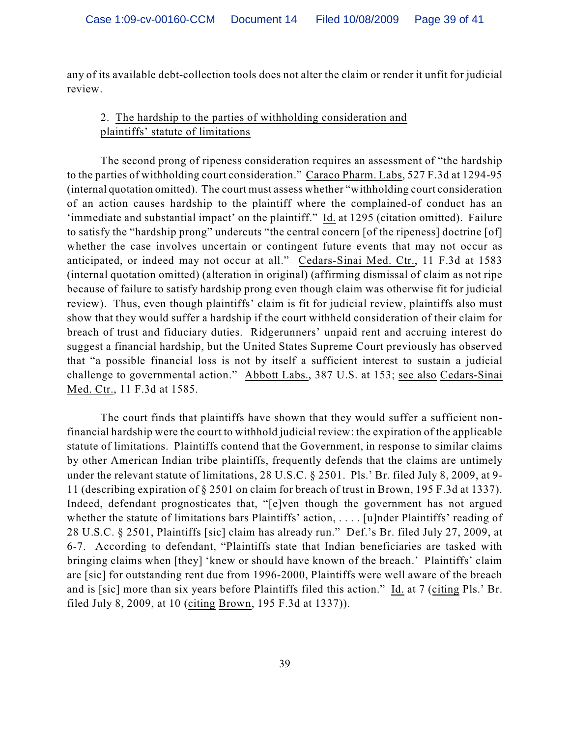any of its available debt-collection tools does not alter the claim or render it unfit for judicial review.

# 2. The hardship to the parties of withholding consideration and plaintiffs' statute of limitations

The second prong of ripeness consideration requires an assessment of "the hardship to the parties of withholding court consideration." Caraco Pharm. Labs, 527 F.3d at 1294-95 (internal quotation omitted). The court must assess whether "withholding court consideration of an action causes hardship to the plaintiff where the complained-of conduct has an 'immediate and substantial impact' on the plaintiff." Id. at 1295 (citation omitted). Failure to satisfy the "hardship prong" undercuts "the central concern [of the ripeness] doctrine [of] whether the case involves uncertain or contingent future events that may not occur as anticipated, or indeed may not occur at all." Cedars-Sinai Med. Ctr., 11 F.3d at 1583 (internal quotation omitted) (alteration in original) (affirming dismissal of claim as not ripe because of failure to satisfy hardship prong even though claim was otherwise fit for judicial review). Thus, even though plaintiffs' claim is fit for judicial review, plaintiffs also must show that they would suffer a hardship if the court withheld consideration of their claim for breach of trust and fiduciary duties. Ridgerunners' unpaid rent and accruing interest do suggest a financial hardship, but the United States Supreme Court previously has observed that "a possible financial loss is not by itself a sufficient interest to sustain a judicial challenge to governmental action." Abbott Labs., 387 U.S. at 153; see also Cedars-Sinai Med. Ctr., 11 F.3d at 1585.

The court finds that plaintiffs have shown that they would suffer a sufficient nonfinancial hardship were the court to withhold judicial review: the expiration of the applicable statute of limitations. Plaintiffs contend that the Government, in response to similar claims by other American Indian tribe plaintiffs, frequently defends that the claims are untimely under the relevant statute of limitations, 28 U.S.C. § 2501. Pls.' Br. filed July 8, 2009, at 9- 11 (describing expiration of § 2501 on claim for breach of trust in Brown, 195 F.3d at 1337). Indeed, defendant prognosticates that, "[e]ven though the government has not argued whether the statute of limitations bars Plaintiffs' action, . . . . [u]nder Plaintiffs' reading of 28 U.S.C. § 2501, Plaintiffs [sic] claim has already run." Def.'s Br. filed July 27, 2009, at 6-7. According to defendant, "Plaintiffs state that Indian beneficiaries are tasked with bringing claims when [they] 'knew or should have known of the breach.' Plaintiffs' claim are [sic] for outstanding rent due from 1996-2000, Plaintiffs were well aware of the breach and is [sic] more than six years before Plaintiffs filed this action." Id. at 7 (citing Pls.' Br. filed July 8, 2009, at 10 (citing Brown, 195 F.3d at 1337)).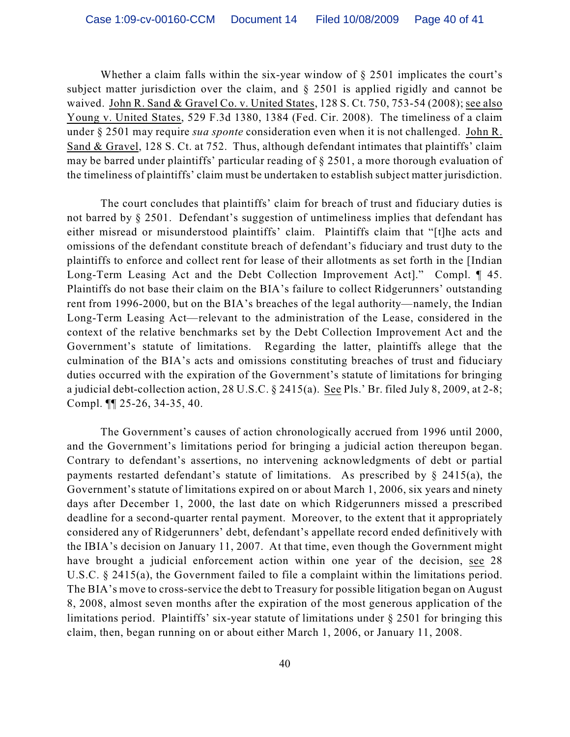Whether a claim falls within the six-year window of § 2501 implicates the court's subject matter jurisdiction over the claim, and § 2501 is applied rigidly and cannot be waived. John R. Sand & Gravel Co. v. United States, 128 S. Ct. 750, 753-54 (2008); see also Young v. United States, 529 F.3d 1380, 1384 (Fed. Cir. 2008). The timeliness of a claim under § 2501 may require *sua sponte* consideration even when it is not challenged. John R. Sand & Gravel, 128 S. Ct. at 752. Thus, although defendant intimates that plaintiffs' claim may be barred under plaintiffs' particular reading of § 2501, a more thorough evaluation of the timeliness of plaintiffs' claim must be undertaken to establish subject matter jurisdiction.

The court concludes that plaintiffs' claim for breach of trust and fiduciary duties is not barred by § 2501. Defendant's suggestion of untimeliness implies that defendant has either misread or misunderstood plaintiffs' claim. Plaintiffs claim that "[t]he acts and omissions of the defendant constitute breach of defendant's fiduciary and trust duty to the plaintiffs to enforce and collect rent for lease of their allotments as set forth in the [Indian Long-Term Leasing Act and the Debt Collection Improvement Act]." Compl. ¶ 45. Plaintiffs do not base their claim on the BIA's failure to collect Ridgerunners' outstanding rent from 1996-2000, but on the BIA's breaches of the legal authority—namely, the Indian Long-Term Leasing Act—relevant to the administration of the Lease, considered in the context of the relative benchmarks set by the Debt Collection Improvement Act and the Government's statute of limitations. Regarding the latter, plaintiffs allege that the culmination of the BIA's acts and omissions constituting breaches of trust and fiduciary duties occurred with the expiration of the Government's statute of limitations for bringing a judicial debt-collection action, 28 U.S.C. § 2415(a). See Pls.' Br. filed July 8, 2009, at 2-8; Compl. ¶¶ 25-26, 34-35, 40.

The Government's causes of action chronologically accrued from 1996 until 2000, and the Government's limitations period for bringing a judicial action thereupon began. Contrary to defendant's assertions, no intervening acknowledgments of debt or partial payments restarted defendant's statute of limitations. As prescribed by § 2415(a), the Government's statute of limitations expired on or about March 1, 2006, six years and ninety days after December 1, 2000, the last date on which Ridgerunners missed a prescribed deadline for a second-quarter rental payment. Moreover, to the extent that it appropriately considered any of Ridgerunners' debt, defendant's appellate record ended definitively with the IBIA's decision on January 11, 2007. At that time, even though the Government might have brought a judicial enforcement action within one year of the decision, see 28 U.S.C. § 2415(a), the Government failed to file a complaint within the limitations period. The BIA's move to cross-service the debt to Treasury for possible litigation began on August 8, 2008, almost seven months after the expiration of the most generous application of the limitations period. Plaintiffs' six-year statute of limitations under § 2501 for bringing this claim, then, began running on or about either March 1, 2006, or January 11, 2008.